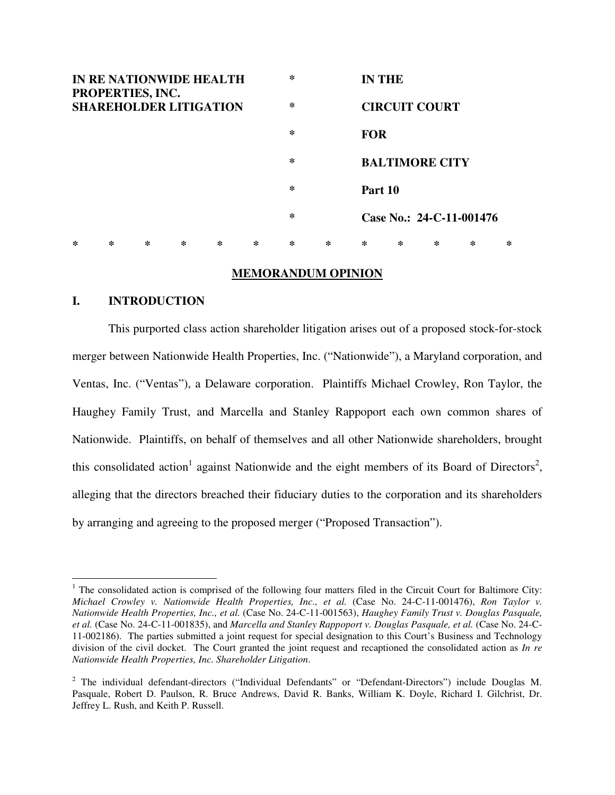

# **MEMORANDUM OPINION**

## **I. INTRODUCTION**

 $\overline{a}$ 

This purported class action shareholder litigation arises out of a proposed stock-for-stock merger between Nationwide Health Properties, Inc. ("Nationwide"), a Maryland corporation, and Ventas, Inc. ("Ventas"), a Delaware corporation. Plaintiffs Michael Crowley, Ron Taylor, the Haughey Family Trust, and Marcella and Stanley Rappoport each own common shares of Nationwide. Plaintiffs, on behalf of themselves and all other Nationwide shareholders, brought this consolidated action<sup>1</sup> against Nationwide and the eight members of its Board of Directors<sup>2</sup>, alleging that the directors breached their fiduciary duties to the corporation and its shareholders by arranging and agreeing to the proposed merger ("Proposed Transaction").

<sup>&</sup>lt;sup>1</sup> The consolidated action is comprised of the following four matters filed in the Circuit Court for Baltimore City: *Michael Crowley v. Nationwide Health Properties, Inc., et al.* (Case No. 24-C-11-001476), *Ron Taylor v. Nationwide Health Properties, Inc., et al.* (Case No. 24-C-11-001563), *Haughey Family Trust v. Douglas Pasquale, et al.* (Case No. 24-C-11-001835), and *Marcella and Stanley Rappoport v. Douglas Pasquale, et al.* (Case No. 24-C-11-002186). The parties submitted a joint request for special designation to this Court's Business and Technology division of the civil docket. The Court granted the joint request and recaptioned the consolidated action as *In re Nationwide Health Properties, Inc. Shareholder Litigation*.

<sup>&</sup>lt;sup>2</sup> The individual defendant-directors ("Individual Defendants" or "Defendant-Directors") include Douglas M. Pasquale, Robert D. Paulson, R. Bruce Andrews, David R. Banks, William K. Doyle, Richard I. Gilchrist, Dr. Jeffrey L. Rush, and Keith P. Russell.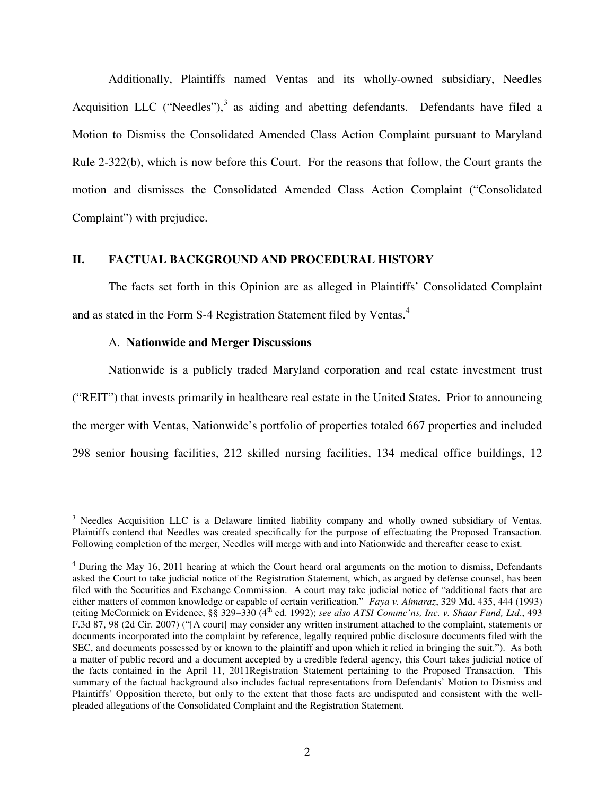Additionally, Plaintiffs named Ventas and its wholly-owned subsidiary, Needles Acquisition LLC ("Needles"), $3$  as aiding and abetting defendants. Defendants have filed a Motion to Dismiss the Consolidated Amended Class Action Complaint pursuant to Maryland Rule 2-322(b), which is now before this Court. For the reasons that follow, the Court grants the motion and dismisses the Consolidated Amended Class Action Complaint ("Consolidated Complaint") with prejudice.

# **II. FACTUAL BACKGROUND AND PROCEDURAL HISTORY**

The facts set forth in this Opinion are as alleged in Plaintiffs' Consolidated Complaint and as stated in the Form S-4 Registration Statement filed by Ventas.<sup>4</sup>

# A. **Nationwide and Merger Discussions**

 $\overline{a}$ 

Nationwide is a publicly traded Maryland corporation and real estate investment trust ("REIT") that invests primarily in healthcare real estate in the United States. Prior to announcing the merger with Ventas, Nationwide's portfolio of properties totaled 667 properties and included 298 senior housing facilities, 212 skilled nursing facilities, 134 medical office buildings, 12

<sup>&</sup>lt;sup>3</sup> Needles Acquisition LLC is a Delaware limited liability company and wholly owned subsidiary of Ventas. Plaintiffs contend that Needles was created specifically for the purpose of effectuating the Proposed Transaction. Following completion of the merger, Needles will merge with and into Nationwide and thereafter cease to exist.

<sup>&</sup>lt;sup>4</sup> During the May 16, 2011 hearing at which the Court heard oral arguments on the motion to dismiss, Defendants asked the Court to take judicial notice of the Registration Statement, which, as argued by defense counsel, has been filed with the Securities and Exchange Commission. A court may take judicial notice of "additional facts that are either matters of common knowledge or capable of certain verification." *Faya v. Almaraz*, 329 Md. 435, 444 (1993) (citing McCormick on Evidence, §§ 329–330 (4th ed. 1992); *see also ATSI Commc'ns, Inc. v. Shaar Fund, Ltd*., 493 F.3d 87, 98 (2d Cir. 2007) ("[A court] may consider any written instrument attached to the complaint, statements or documents incorporated into the complaint by reference, legally required public disclosure documents filed with the SEC, and documents possessed by or known to the plaintiff and upon which it relied in bringing the suit."). As both a matter of public record and a document accepted by a credible federal agency, this Court takes judicial notice of the facts contained in the April 11, 2011Registration Statement pertaining to the Proposed Transaction. This summary of the factual background also includes factual representations from Defendants' Motion to Dismiss and Plaintiffs' Opposition thereto, but only to the extent that those facts are undisputed and consistent with the wellpleaded allegations of the Consolidated Complaint and the Registration Statement.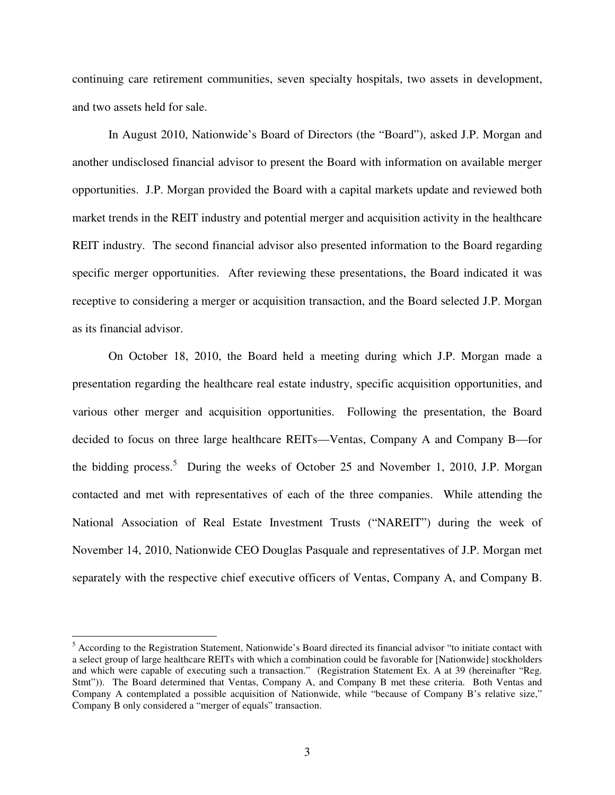continuing care retirement communities, seven specialty hospitals, two assets in development, and two assets held for sale.

In August 2010, Nationwide's Board of Directors (the "Board"), asked J.P. Morgan and another undisclosed financial advisor to present the Board with information on available merger opportunities. J.P. Morgan provided the Board with a capital markets update and reviewed both market trends in the REIT industry and potential merger and acquisition activity in the healthcare REIT industry. The second financial advisor also presented information to the Board regarding specific merger opportunities. After reviewing these presentations, the Board indicated it was receptive to considering a merger or acquisition transaction, and the Board selected J.P. Morgan as its financial advisor.

On October 18, 2010, the Board held a meeting during which J.P. Morgan made a presentation regarding the healthcare real estate industry, specific acquisition opportunities, and various other merger and acquisition opportunities. Following the presentation, the Board decided to focus on three large healthcare REITs—Ventas, Company A and Company B—for the bidding process.<sup>5</sup> During the weeks of October 25 and November 1, 2010, J.P. Morgan contacted and met with representatives of each of the three companies. While attending the National Association of Real Estate Investment Trusts ("NAREIT") during the week of November 14, 2010, Nationwide CEO Douglas Pasquale and representatives of J.P. Morgan met separately with the respective chief executive officers of Ventas, Company A, and Company B.

 $\overline{a}$ 

<sup>&</sup>lt;sup>5</sup> According to the Registration Statement, Nationwide's Board directed its financial advisor "to initiate contact with a select group of large healthcare REITs with which a combination could be favorable for [Nationwide] stockholders and which were capable of executing such a transaction." (Registration Statement Ex. A at 39 (hereinafter "Reg. Stmt")). The Board determined that Ventas, Company A, and Company B met these criteria. Both Ventas and Company A contemplated a possible acquisition of Nationwide, while "because of Company B's relative size," Company B only considered a "merger of equals" transaction.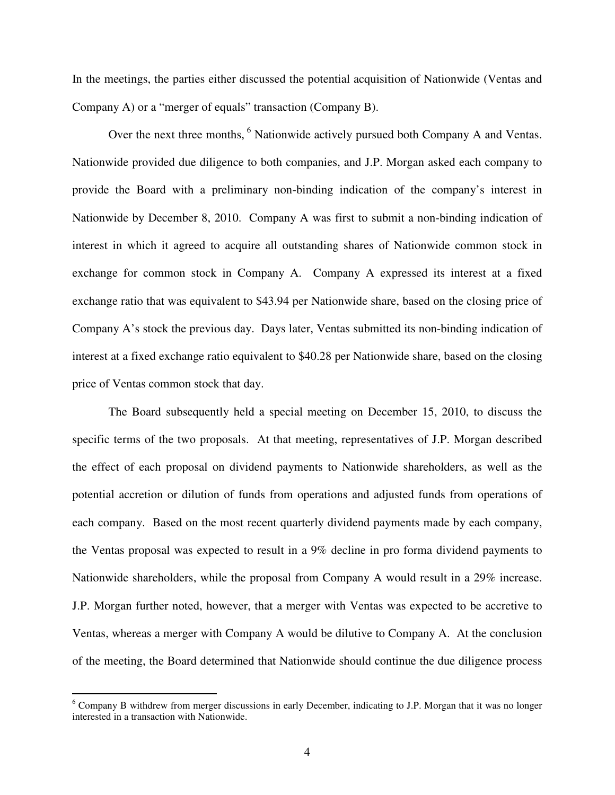In the meetings, the parties either discussed the potential acquisition of Nationwide (Ventas and Company A) or a "merger of equals" transaction (Company B).

Over the next three months,<sup>6</sup> Nationwide actively pursued both Company A and Ventas. Nationwide provided due diligence to both companies, and J.P. Morgan asked each company to provide the Board with a preliminary non-binding indication of the company's interest in Nationwide by December 8, 2010. Company A was first to submit a non-binding indication of interest in which it agreed to acquire all outstanding shares of Nationwide common stock in exchange for common stock in Company A. Company A expressed its interest at a fixed exchange ratio that was equivalent to \$43.94 per Nationwide share, based on the closing price of Company A's stock the previous day. Days later, Ventas submitted its non-binding indication of interest at a fixed exchange ratio equivalent to \$40.28 per Nationwide share, based on the closing price of Ventas common stock that day.

The Board subsequently held a special meeting on December 15, 2010, to discuss the specific terms of the two proposals. At that meeting, representatives of J.P. Morgan described the effect of each proposal on dividend payments to Nationwide shareholders, as well as the potential accretion or dilution of funds from operations and adjusted funds from operations of each company. Based on the most recent quarterly dividend payments made by each company, the Ventas proposal was expected to result in a 9% decline in pro forma dividend payments to Nationwide shareholders, while the proposal from Company A would result in a 29% increase. J.P. Morgan further noted, however, that a merger with Ventas was expected to be accretive to Ventas, whereas a merger with Company A would be dilutive to Company A. At the conclusion of the meeting, the Board determined that Nationwide should continue the due diligence process

<sup>&</sup>lt;sup>6</sup> Company B withdrew from merger discussions in early December, indicating to J.P. Morgan that it was no longer interested in a transaction with Nationwide.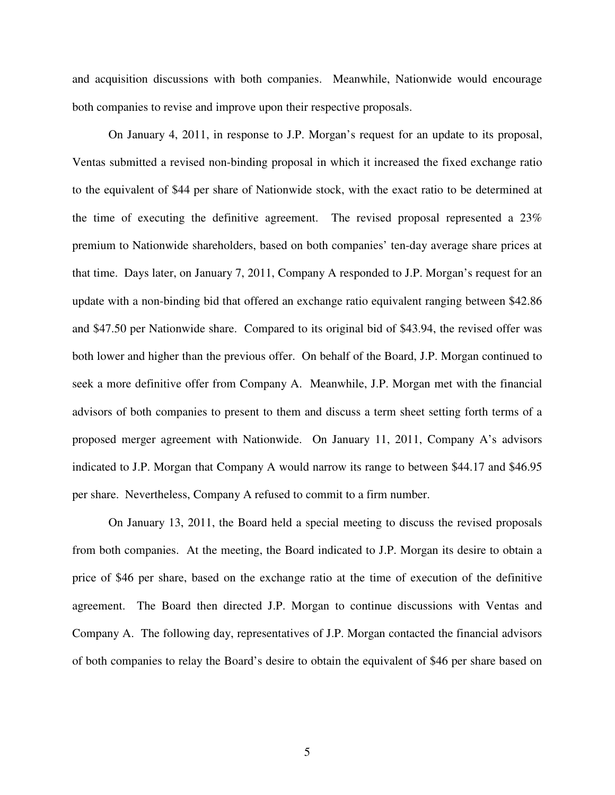and acquisition discussions with both companies. Meanwhile, Nationwide would encourage both companies to revise and improve upon their respective proposals.

On January 4, 2011, in response to J.P. Morgan's request for an update to its proposal, Ventas submitted a revised non-binding proposal in which it increased the fixed exchange ratio to the equivalent of \$44 per share of Nationwide stock, with the exact ratio to be determined at the time of executing the definitive agreement. The revised proposal represented a 23% premium to Nationwide shareholders, based on both companies' ten-day average share prices at that time. Days later, on January 7, 2011, Company A responded to J.P. Morgan's request for an update with a non-binding bid that offered an exchange ratio equivalent ranging between \$42.86 and \$47.50 per Nationwide share. Compared to its original bid of \$43.94, the revised offer was both lower and higher than the previous offer. On behalf of the Board, J.P. Morgan continued to seek a more definitive offer from Company A. Meanwhile, J.P. Morgan met with the financial advisors of both companies to present to them and discuss a term sheet setting forth terms of a proposed merger agreement with Nationwide. On January 11, 2011, Company A's advisors indicated to J.P. Morgan that Company A would narrow its range to between \$44.17 and \$46.95 per share. Nevertheless, Company A refused to commit to a firm number.

On January 13, 2011, the Board held a special meeting to discuss the revised proposals from both companies. At the meeting, the Board indicated to J.P. Morgan its desire to obtain a price of \$46 per share, based on the exchange ratio at the time of execution of the definitive agreement. The Board then directed J.P. Morgan to continue discussions with Ventas and Company A. The following day, representatives of J.P. Morgan contacted the financial advisors of both companies to relay the Board's desire to obtain the equivalent of \$46 per share based on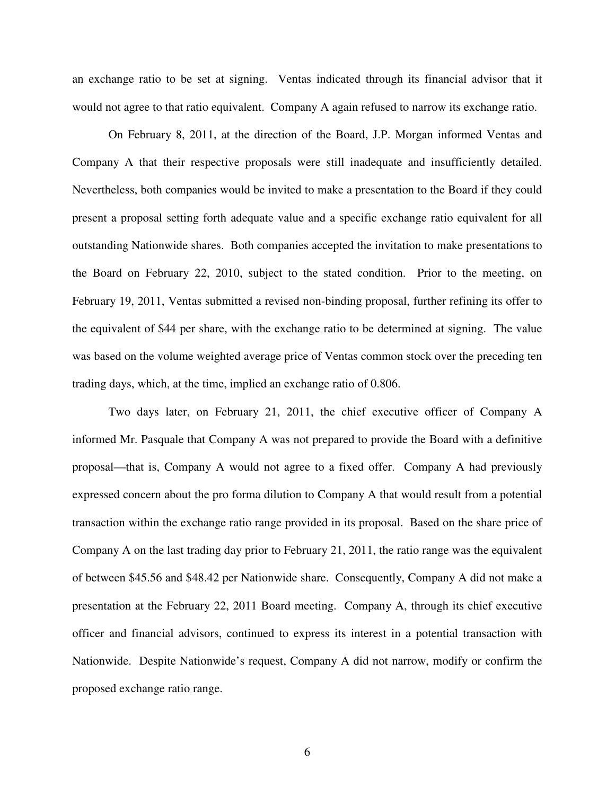an exchange ratio to be set at signing. Ventas indicated through its financial advisor that it would not agree to that ratio equivalent. Company A again refused to narrow its exchange ratio.

On February 8, 2011, at the direction of the Board, J.P. Morgan informed Ventas and Company A that their respective proposals were still inadequate and insufficiently detailed. Nevertheless, both companies would be invited to make a presentation to the Board if they could present a proposal setting forth adequate value and a specific exchange ratio equivalent for all outstanding Nationwide shares. Both companies accepted the invitation to make presentations to the Board on February 22, 2010, subject to the stated condition. Prior to the meeting, on February 19, 2011, Ventas submitted a revised non-binding proposal, further refining its offer to the equivalent of \$44 per share, with the exchange ratio to be determined at signing. The value was based on the volume weighted average price of Ventas common stock over the preceding ten trading days, which, at the time, implied an exchange ratio of 0.806.

Two days later, on February 21, 2011, the chief executive officer of Company A informed Mr. Pasquale that Company A was not prepared to provide the Board with a definitive proposal—that is, Company A would not agree to a fixed offer. Company A had previously expressed concern about the pro forma dilution to Company A that would result from a potential transaction within the exchange ratio range provided in its proposal. Based on the share price of Company A on the last trading day prior to February 21, 2011, the ratio range was the equivalent of between \$45.56 and \$48.42 per Nationwide share. Consequently, Company A did not make a presentation at the February 22, 2011 Board meeting. Company A, through its chief executive officer and financial advisors, continued to express its interest in a potential transaction with Nationwide. Despite Nationwide's request, Company A did not narrow, modify or confirm the proposed exchange ratio range.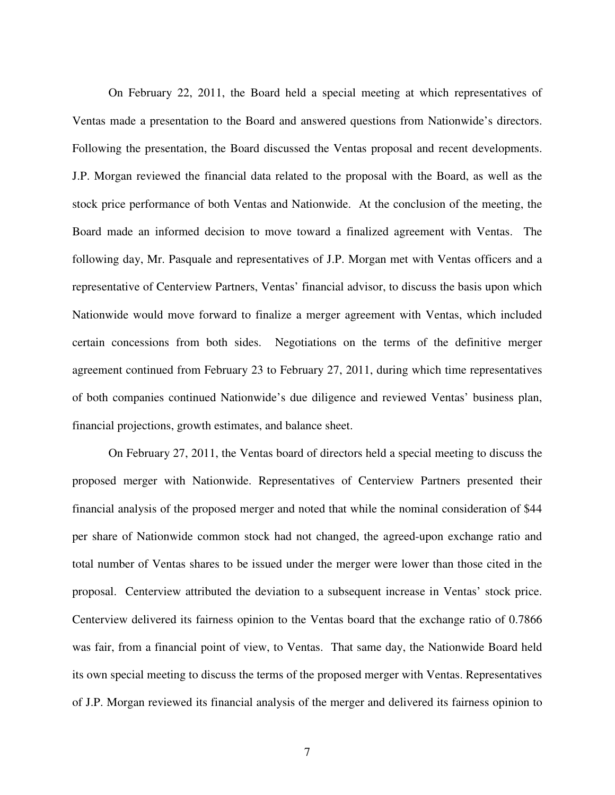On February 22, 2011, the Board held a special meeting at which representatives of Ventas made a presentation to the Board and answered questions from Nationwide's directors. Following the presentation, the Board discussed the Ventas proposal and recent developments. J.P. Morgan reviewed the financial data related to the proposal with the Board, as well as the stock price performance of both Ventas and Nationwide. At the conclusion of the meeting, the Board made an informed decision to move toward a finalized agreement with Ventas. The following day, Mr. Pasquale and representatives of J.P. Morgan met with Ventas officers and a representative of Centerview Partners, Ventas' financial advisor, to discuss the basis upon which Nationwide would move forward to finalize a merger agreement with Ventas, which included certain concessions from both sides. Negotiations on the terms of the definitive merger agreement continued from February 23 to February 27, 2011, during which time representatives of both companies continued Nationwide's due diligence and reviewed Ventas' business plan, financial projections, growth estimates, and balance sheet.

On February 27, 2011, the Ventas board of directors held a special meeting to discuss the proposed merger with Nationwide. Representatives of Centerview Partners presented their financial analysis of the proposed merger and noted that while the nominal consideration of \$44 per share of Nationwide common stock had not changed, the agreed-upon exchange ratio and total number of Ventas shares to be issued under the merger were lower than those cited in the proposal. Centerview attributed the deviation to a subsequent increase in Ventas' stock price. Centerview delivered its fairness opinion to the Ventas board that the exchange ratio of 0.7866 was fair, from a financial point of view, to Ventas. That same day, the Nationwide Board held its own special meeting to discuss the terms of the proposed merger with Ventas. Representatives of J.P. Morgan reviewed its financial analysis of the merger and delivered its fairness opinion to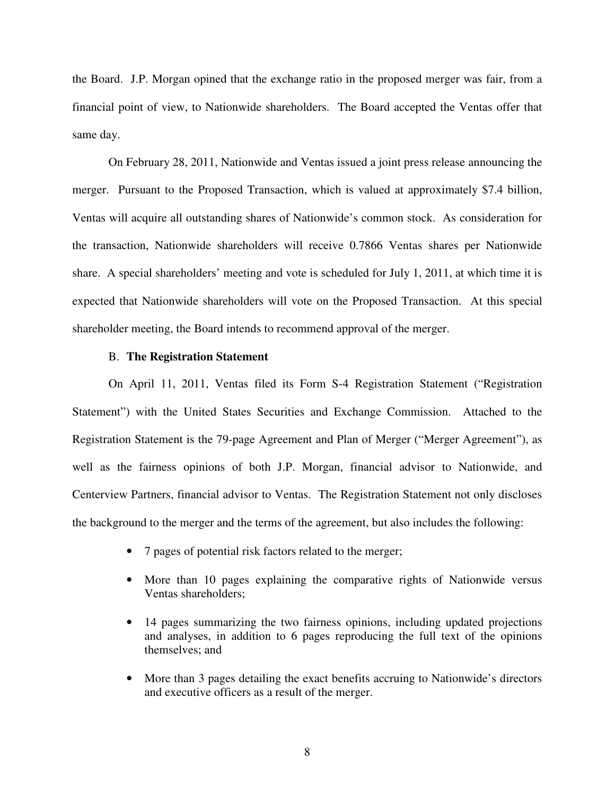the Board. J.P. Morgan opined that the exchange ratio in the proposed merger was fair, from a financial point of view, to Nationwide shareholders. The Board accepted the Ventas offer that same day.

On February 28, 2011, Nationwide and Ventas issued a joint press release announcing the merger. Pursuant to the Proposed Transaction, which is valued at approximately \$7.4 billion, Ventas will acquire all outstanding shares of Nationwide's common stock. As consideration for the transaction, Nationwide shareholders will receive 0.7866 Ventas shares per Nationwide share. A special shareholders' meeting and vote is scheduled for July 1, 2011, at which time it is expected that Nationwide shareholders will vote on the Proposed Transaction. At this special shareholder meeting, the Board intends to recommend approval of the merger.

### B. **The Registration Statement**

On April 11, 2011, Ventas filed its Form S-4 Registration Statement ("Registration Statement") with the United States Securities and Exchange Commission. Attached to the Registration Statement is the 79-page Agreement and Plan of Merger ("Merger Agreement"), as well as the fairness opinions of both J.P. Morgan, financial advisor to Nationwide, and Centerview Partners, financial advisor to Ventas. The Registration Statement not only discloses the background to the merger and the terms of the agreement, but also includes the following:

- 7 pages of potential risk factors related to the merger;
- More than 10 pages explaining the comparative rights of Nationwide versus Ventas shareholders;
- 14 pages summarizing the two fairness opinions, including updated projections and analyses, in addition to 6 pages reproducing the full text of the opinions themselves; and
- More than 3 pages detailing the exact benefits accruing to Nationwide's directors and executive officers as a result of the merger.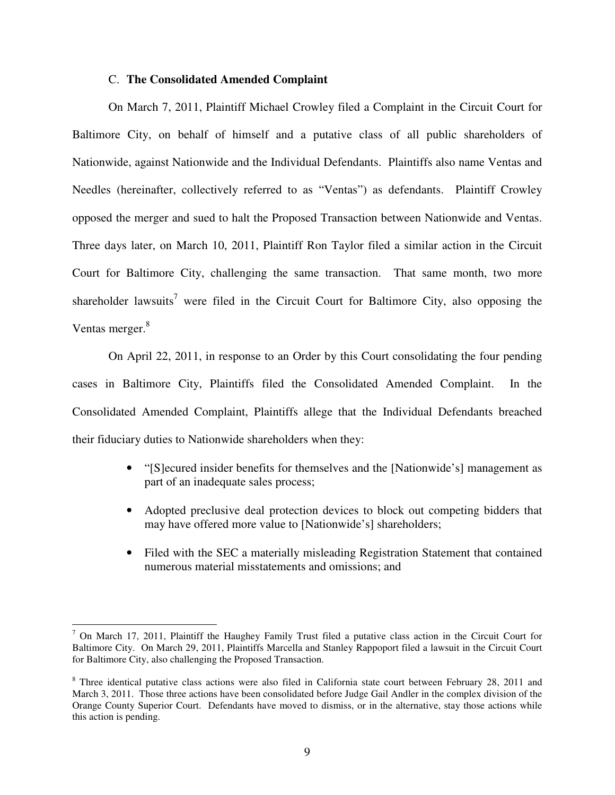## C. **The Consolidated Amended Complaint**

On March 7, 2011, Plaintiff Michael Crowley filed a Complaint in the Circuit Court for Baltimore City, on behalf of himself and a putative class of all public shareholders of Nationwide, against Nationwide and the Individual Defendants. Plaintiffs also name Ventas and Needles (hereinafter, collectively referred to as "Ventas") as defendants. Plaintiff Crowley opposed the merger and sued to halt the Proposed Transaction between Nationwide and Ventas. Three days later, on March 10, 2011, Plaintiff Ron Taylor filed a similar action in the Circuit Court for Baltimore City, challenging the same transaction. That same month, two more shareholder lawsuits<sup>7</sup> were filed in the Circuit Court for Baltimore City, also opposing the Ventas merger.<sup>8</sup>

On April 22, 2011, in response to an Order by this Court consolidating the four pending cases in Baltimore City, Plaintiffs filed the Consolidated Amended Complaint. In the Consolidated Amended Complaint, Plaintiffs allege that the Individual Defendants breached their fiduciary duties to Nationwide shareholders when they:

- "[S]ecured insider benefits for themselves and the [Nationwide's] management as part of an inadequate sales process;
- Adopted preclusive deal protection devices to block out competing bidders that may have offered more value to [Nationwide's] shareholders;
- Filed with the SEC a materially misleading Registration Statement that contained numerous material misstatements and omissions; and

<sup>&</sup>lt;sup>7</sup> On March 17, 2011, Plaintiff the Haughey Family Trust filed a putative class action in the Circuit Court for Baltimore City. On March 29, 2011, Plaintiffs Marcella and Stanley Rappoport filed a lawsuit in the Circuit Court for Baltimore City, also challenging the Proposed Transaction.

<sup>&</sup>lt;sup>8</sup> Three identical putative class actions were also filed in California state court between February 28, 2011 and March 3, 2011. Those three actions have been consolidated before Judge Gail Andler in the complex division of the Orange County Superior Court. Defendants have moved to dismiss, or in the alternative, stay those actions while this action is pending.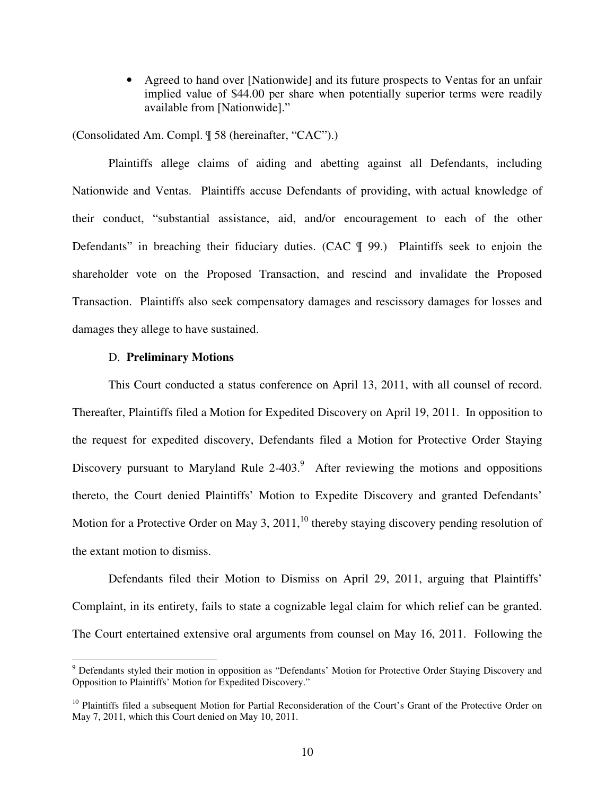• Agreed to hand over [Nationwide] and its future prospects to Ventas for an unfair implied value of \$44.00 per share when potentially superior terms were readily available from [Nationwide]."

(Consolidated Am. Compl. ¶ 58 (hereinafter, "CAC").)

Plaintiffs allege claims of aiding and abetting against all Defendants, including Nationwide and Ventas. Plaintiffs accuse Defendants of providing, with actual knowledge of their conduct, "substantial assistance, aid, and/or encouragement to each of the other Defendants" in breaching their fiduciary duties. (CAC ¶ 99.) Plaintiffs seek to enjoin the shareholder vote on the Proposed Transaction, and rescind and invalidate the Proposed Transaction. Plaintiffs also seek compensatory damages and rescissory damages for losses and damages they allege to have sustained.

#### D. **Preliminary Motions**

This Court conducted a status conference on April 13, 2011, with all counsel of record. Thereafter, Plaintiffs filed a Motion for Expedited Discovery on April 19, 2011. In opposition to the request for expedited discovery, Defendants filed a Motion for Protective Order Staying Discovery pursuant to Maryland Rule  $2-403$ .<sup>9</sup> After reviewing the motions and oppositions thereto, the Court denied Plaintiffs' Motion to Expedite Discovery and granted Defendants' Motion for a Protective Order on May 3, 2011,<sup>10</sup> thereby staying discovery pending resolution of the extant motion to dismiss.

Defendants filed their Motion to Dismiss on April 29, 2011, arguing that Plaintiffs' Complaint, in its entirety, fails to state a cognizable legal claim for which relief can be granted. The Court entertained extensive oral arguments from counsel on May 16, 2011. Following the

<sup>&</sup>lt;sup>9</sup> Defendants styled their motion in opposition as "Defendants' Motion for Protective Order Staying Discovery and Opposition to Plaintiffs' Motion for Expedited Discovery."

 $10$  Plaintiffs filed a subsequent Motion for Partial Reconsideration of the Court's Grant of the Protective Order on May 7, 2011, which this Court denied on May 10, 2011.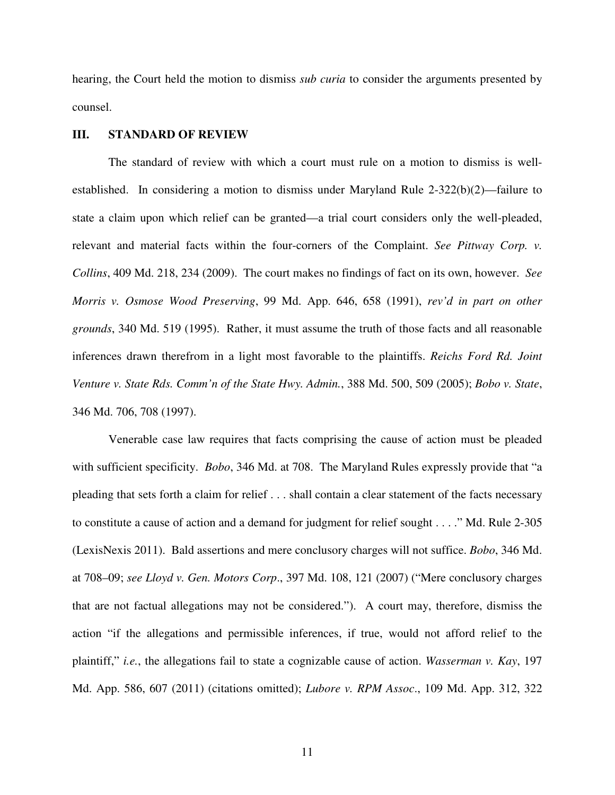hearing, the Court held the motion to dismiss *sub curia* to consider the arguments presented by counsel.

## **III. STANDARD OF REVIEW**

The standard of review with which a court must rule on a motion to dismiss is wellestablished. In considering a motion to dismiss under Maryland Rule 2-322(b)(2)—failure to state a claim upon which relief can be granted—a trial court considers only the well-pleaded, relevant and material facts within the four-corners of the Complaint. *See Pittway Corp. v. Collins*, 409 Md. 218, 234 (2009). The court makes no findings of fact on its own, however. *See Morris v. Osmose Wood Preserving*, 99 Md. App. 646, 658 (1991), *rev'd in part on other grounds*, 340 Md. 519 (1995). Rather, it must assume the truth of those facts and all reasonable inferences drawn therefrom in a light most favorable to the plaintiffs. *Reichs Ford Rd. Joint Venture v. State Rds. Comm'n of the State Hwy. Admin.*, 388 Md. 500, 509 (2005); *Bobo v. State*, 346 Md. 706, 708 (1997).

Venerable case law requires that facts comprising the cause of action must be pleaded with sufficient specificity. *Bobo*, 346 Md. at 708. The Maryland Rules expressly provide that "a pleading that sets forth a claim for relief . . . shall contain a clear statement of the facts necessary to constitute a cause of action and a demand for judgment for relief sought . . . ." Md. Rule 2-305 (LexisNexis 2011). Bald assertions and mere conclusory charges will not suffice. *Bobo*, 346 Md. at 708–09; *see Lloyd v. Gen. Motors Corp*., 397 Md. 108, 121 (2007) ("Mere conclusory charges that are not factual allegations may not be considered."). A court may, therefore, dismiss the action "if the allegations and permissible inferences, if true, would not afford relief to the plaintiff," *i.e.*, the allegations fail to state a cognizable cause of action. *Wasserman v. Kay*, 197 Md. App. 586, 607 (2011) (citations omitted); *Lubore v. RPM Assoc*., 109 Md. App. 312, 322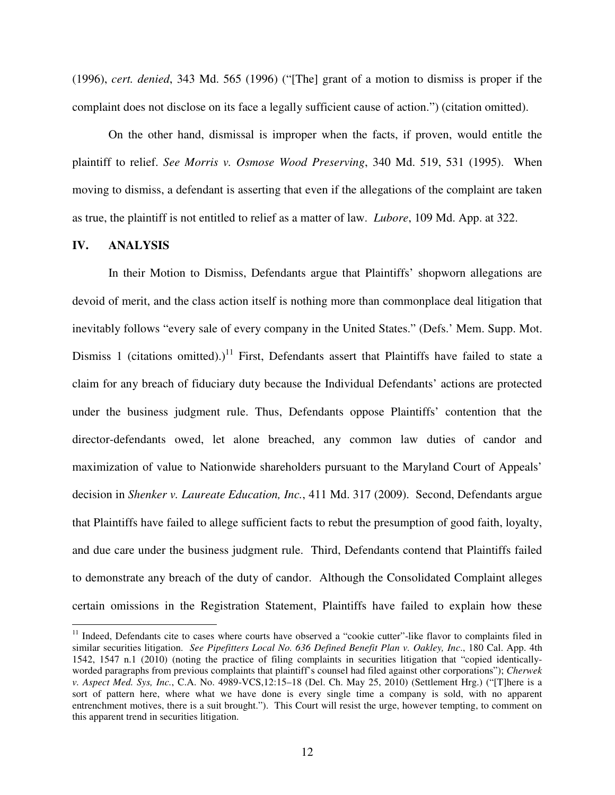(1996), *cert. denied*, 343 Md. 565 (1996) ("[The] grant of a motion to dismiss is proper if the complaint does not disclose on its face a legally sufficient cause of action.") (citation omitted).

On the other hand, dismissal is improper when the facts, if proven, would entitle the plaintiff to relief. *See Morris v. Osmose Wood Preserving*, 340 Md. 519, 531 (1995). When moving to dismiss, a defendant is asserting that even if the allegations of the complaint are taken as true, the plaintiff is not entitled to relief as a matter of law. *Lubore*, 109 Md. App. at 322.

# **IV. ANALYSIS**

 $\overline{a}$ 

In their Motion to Dismiss, Defendants argue that Plaintiffs' shopworn allegations are devoid of merit, and the class action itself is nothing more than commonplace deal litigation that inevitably follows "every sale of every company in the United States." (Defs.' Mem. Supp. Mot. Dismiss 1 (citations omitted).)<sup>11</sup> First, Defendants assert that Plaintiffs have failed to state a claim for any breach of fiduciary duty because the Individual Defendants' actions are protected under the business judgment rule. Thus, Defendants oppose Plaintiffs' contention that the director-defendants owed, let alone breached, any common law duties of candor and maximization of value to Nationwide shareholders pursuant to the Maryland Court of Appeals' decision in *Shenker v. Laureate Education, Inc.*, 411 Md. 317 (2009). Second, Defendants argue that Plaintiffs have failed to allege sufficient facts to rebut the presumption of good faith, loyalty, and due care under the business judgment rule. Third, Defendants contend that Plaintiffs failed to demonstrate any breach of the duty of candor. Although the Consolidated Complaint alleges certain omissions in the Registration Statement, Plaintiffs have failed to explain how these

 $11$  Indeed, Defendants cite to cases where courts have observed a "cookie cutter"-like flavor to complaints filed in similar securities litigation. *See Pipefitters Local No. 636 Defined Benefit Plan v. Oakley, Inc*., 180 Cal. App. 4th 1542, 1547 n.1 (2010) (noting the practice of filing complaints in securities litigation that "copied identicallyworded paragraphs from previous complaints that plaintiff's counsel had filed against other corporations"); *Cherwek v. Aspect Med. Sys, Inc.*, C.A. No. 4989-VCS,12:15–18 (Del. Ch. May 25, 2010) (Settlement Hrg.) ("[T]here is a sort of pattern here, where what we have done is every single time a company is sold, with no apparent entrenchment motives, there is a suit brought."). This Court will resist the urge, however tempting, to comment on this apparent trend in securities litigation.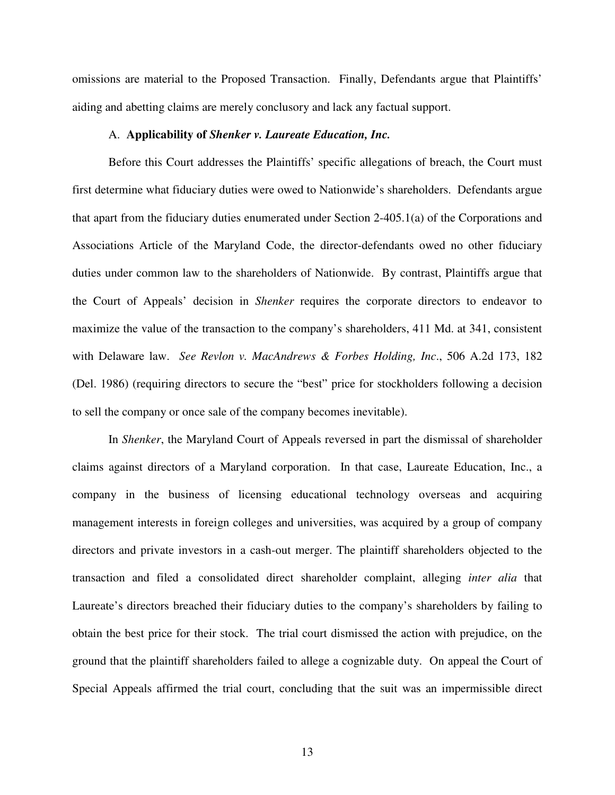omissions are material to the Proposed Transaction. Finally, Defendants argue that Plaintiffs' aiding and abetting claims are merely conclusory and lack any factual support.

#### A. **Applicability of** *Shenker v. Laureate Education, Inc.*

Before this Court addresses the Plaintiffs' specific allegations of breach, the Court must first determine what fiduciary duties were owed to Nationwide's shareholders. Defendants argue that apart from the fiduciary duties enumerated under Section 2-405.1(a) of the Corporations and Associations Article of the Maryland Code, the director-defendants owed no other fiduciary duties under common law to the shareholders of Nationwide. By contrast, Plaintiffs argue that the Court of Appeals' decision in *Shenker* requires the corporate directors to endeavor to maximize the value of the transaction to the company's shareholders, 411 Md. at 341, consistent with Delaware law. *See Revlon v. MacAndrews & Forbes Holding, Inc*., 506 A.2d 173, 182 (Del. 1986) (requiring directors to secure the "best" price for stockholders following a decision to sell the company or once sale of the company becomes inevitable).

In *Shenker*, the Maryland Court of Appeals reversed in part the dismissal of shareholder claims against directors of a Maryland corporation. In that case, Laureate Education, Inc., a company in the business of licensing educational technology overseas and acquiring management interests in foreign colleges and universities, was acquired by a group of company directors and private investors in a cash-out merger. The plaintiff shareholders objected to the transaction and filed a consolidated direct shareholder complaint, alleging *inter alia* that Laureate's directors breached their fiduciary duties to the company's shareholders by failing to obtain the best price for their stock. The trial court dismissed the action with prejudice, on the ground that the plaintiff shareholders failed to allege a cognizable duty. On appeal the Court of Special Appeals affirmed the trial court, concluding that the suit was an impermissible direct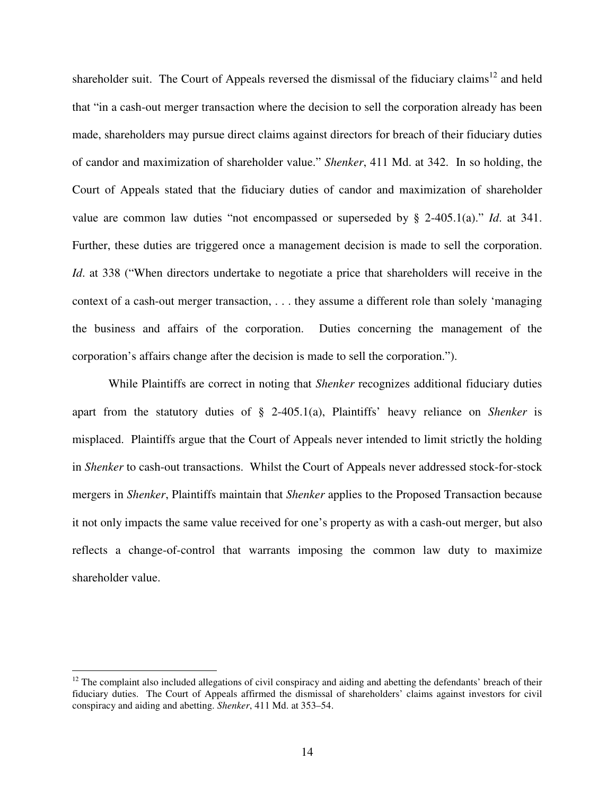shareholder suit. The Court of Appeals reversed the dismissal of the fiduciary claims<sup>12</sup> and held that "in a cash-out merger transaction where the decision to sell the corporation already has been made, shareholders may pursue direct claims against directors for breach of their fiduciary duties of candor and maximization of shareholder value." *Shenker*, 411 Md. at 342. In so holding, the Court of Appeals stated that the fiduciary duties of candor and maximization of shareholder value are common law duties "not encompassed or superseded by § 2-405.1(a)." *Id*. at 341. Further, these duties are triggered once a management decision is made to sell the corporation. *Id.* at 338 ("When directors undertake to negotiate a price that shareholders will receive in the context of a cash-out merger transaction, . . . they assume a different role than solely 'managing the business and affairs of the corporation. Duties concerning the management of the corporation's affairs change after the decision is made to sell the corporation.").

While Plaintiffs are correct in noting that *Shenker* recognizes additional fiduciary duties apart from the statutory duties of § 2-405.1(a), Plaintiffs' heavy reliance on *Shenker* is misplaced. Plaintiffs argue that the Court of Appeals never intended to limit strictly the holding in *Shenker* to cash-out transactions. Whilst the Court of Appeals never addressed stock-for-stock mergers in *Shenker*, Plaintiffs maintain that *Shenker* applies to the Proposed Transaction because it not only impacts the same value received for one's property as with a cash-out merger, but also reflects a change-of-control that warrants imposing the common law duty to maximize shareholder value.

 $\overline{a}$ 

 $12$  The complaint also included allegations of civil conspiracy and aiding and abetting the defendants' breach of their fiduciary duties. The Court of Appeals affirmed the dismissal of shareholders' claims against investors for civil conspiracy and aiding and abetting. *Shenker*, 411 Md. at 353–54.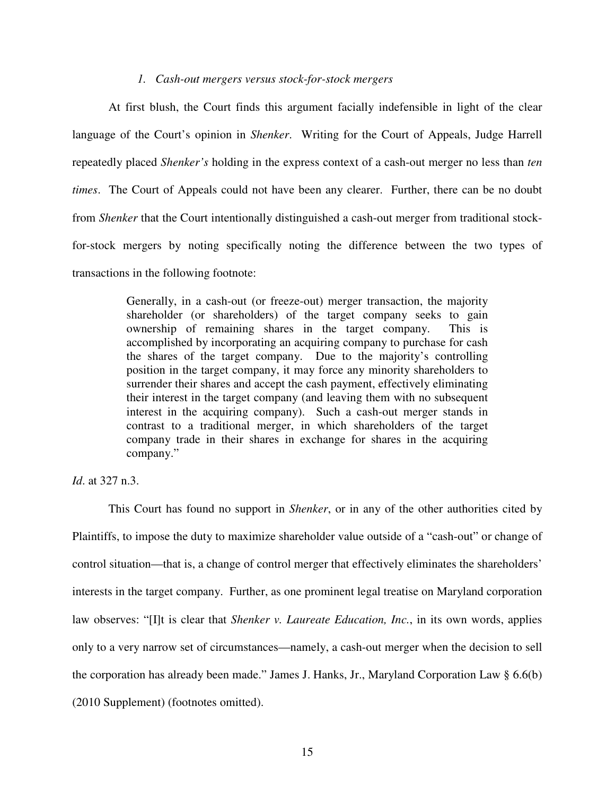## *1. Cash-out mergers versus stock-for-stock mergers*

At first blush, the Court finds this argument facially indefensible in light of the clear language of the Court's opinion in *Shenker*. Writing for the Court of Appeals, Judge Harrell repeatedly placed *Shenker's* holding in the express context of a cash-out merger no less than *ten times*. The Court of Appeals could not have been any clearer. Further, there can be no doubt from *Shenker* that the Court intentionally distinguished a cash-out merger from traditional stockfor-stock mergers by noting specifically noting the difference between the two types of transactions in the following footnote:

> Generally, in a cash-out (or freeze-out) merger transaction, the majority shareholder (or shareholders) of the target company seeks to gain ownership of remaining shares in the target company. This is accomplished by incorporating an acquiring company to purchase for cash the shares of the target company. Due to the majority's controlling position in the target company, it may force any minority shareholders to surrender their shares and accept the cash payment, effectively eliminating their interest in the target company (and leaving them with no subsequent interest in the acquiring company). Such a cash-out merger stands in contrast to a traditional merger, in which shareholders of the target company trade in their shares in exchange for shares in the acquiring company."

*Id*. at 327 n.3.

This Court has found no support in *Shenker*, or in any of the other authorities cited by Plaintiffs, to impose the duty to maximize shareholder value outside of a "cash-out" or change of control situation—that is, a change of control merger that effectively eliminates the shareholders' interests in the target company. Further, as one prominent legal treatise on Maryland corporation law observes: "[I]t is clear that *Shenker v. Laureate Education, Inc.*, in its own words, applies only to a very narrow set of circumstances—namely, a cash-out merger when the decision to sell the corporation has already been made." James J. Hanks, Jr., Maryland Corporation Law § 6.6(b) (2010 Supplement) (footnotes omitted).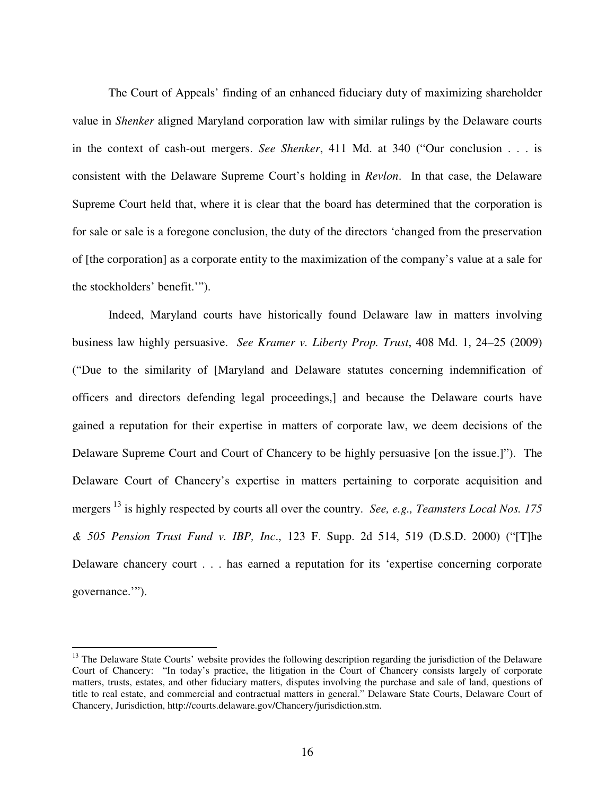The Court of Appeals' finding of an enhanced fiduciary duty of maximizing shareholder value in *Shenker* aligned Maryland corporation law with similar rulings by the Delaware courts in the context of cash-out mergers. *See Shenker*, 411 Md. at 340 ("Our conclusion . . . is consistent with the Delaware Supreme Court's holding in *Revlon*. In that case, the Delaware Supreme Court held that, where it is clear that the board has determined that the corporation is for sale or sale is a foregone conclusion, the duty of the directors 'changed from the preservation of [the corporation] as a corporate entity to the maximization of the company's value at a sale for the stockholders' benefit.'").

Indeed, Maryland courts have historically found Delaware law in matters involving business law highly persuasive. *See Kramer v. Liberty Prop. Trust*, 408 Md. 1, 24–25 (2009) ("Due to the similarity of [Maryland and Delaware statutes concerning indemnification of officers and directors defending legal proceedings,] and because the Delaware courts have gained a reputation for their expertise in matters of corporate law, we deem decisions of the Delaware Supreme Court and Court of Chancery to be highly persuasive [on the issue.]"). The Delaware Court of Chancery's expertise in matters pertaining to corporate acquisition and mergers <sup>13</sup> is highly respected by courts all over the country. *See, e.g., Teamsters Local Nos. 175 & 505 Pension Trust Fund v. IBP, Inc*., 123 F. Supp. 2d 514, 519 (D.S.D. 2000) ("[T]he Delaware chancery court . . . has earned a reputation for its 'expertise concerning corporate governance.'").

 $\overline{a}$ 

<sup>&</sup>lt;sup>13</sup> The Delaware State Courts' website provides the following description regarding the jurisdiction of the Delaware Court of Chancery: "In today's practice, the litigation in the Court of Chancery consists largely of corporate matters, trusts, estates, and other fiduciary matters, disputes involving the purchase and sale of land, questions of title to real estate, and commercial and contractual matters in general." Delaware State Courts, Delaware Court of Chancery, Jurisdiction, http://courts.delaware.gov/Chancery/jurisdiction.stm.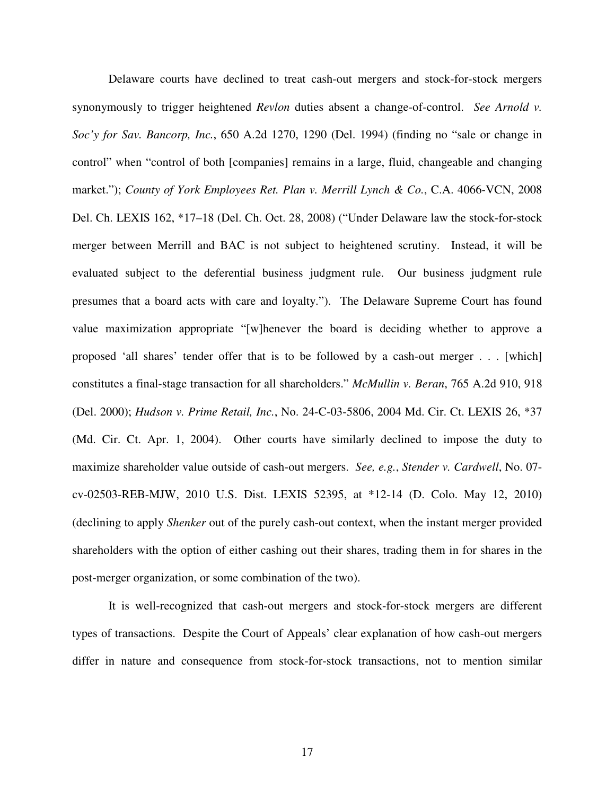Delaware courts have declined to treat cash-out mergers and stock-for-stock mergers synonymously to trigger heightened *Revlon* duties absent a change-of-control. *See Arnold v. Soc'y for Sav. Bancorp, Inc.*, 650 A.2d 1270, 1290 (Del. 1994) (finding no "sale or change in control" when "control of both [companies] remains in a large, fluid, changeable and changing market."); *County of York Employees Ret. Plan v. Merrill Lynch & Co.*, C.A. 4066-VCN, 2008 Del. Ch. LEXIS 162, \*17–18 (Del. Ch. Oct. 28, 2008) ("Under Delaware law the stock-for-stock merger between Merrill and BAC is not subject to heightened scrutiny. Instead, it will be evaluated subject to the deferential business judgment rule. Our business judgment rule presumes that a board acts with care and loyalty."). The Delaware Supreme Court has found value maximization appropriate "[w]henever the board is deciding whether to approve a proposed 'all shares' tender offer that is to be followed by a cash-out merger . . . [which] constitutes a final-stage transaction for all shareholders." *McMullin v. Beran*, 765 A.2d 910, 918 (Del. 2000); *Hudson v. Prime Retail, Inc.*, No. 24-C-03-5806, 2004 Md. Cir. Ct. LEXIS 26, \*37 (Md. Cir. Ct. Apr. 1, 2004). Other courts have similarly declined to impose the duty to maximize shareholder value outside of cash-out mergers. *See, e.g.*, *Stender v. Cardwell*, No. 07 cv-02503-REB-MJW, 2010 U.S. Dist. LEXIS 52395, at \*12-14 (D. Colo. May 12, 2010) (declining to apply *Shenker* out of the purely cash-out context, when the instant merger provided shareholders with the option of either cashing out their shares, trading them in for shares in the post-merger organization, or some combination of the two).

It is well-recognized that cash-out mergers and stock-for-stock mergers are different types of transactions. Despite the Court of Appeals' clear explanation of how cash-out mergers differ in nature and consequence from stock-for-stock transactions, not to mention similar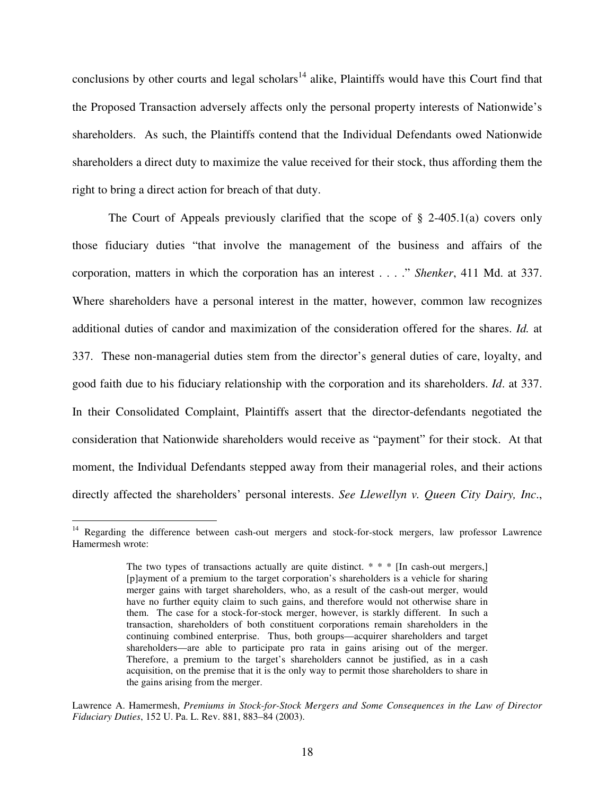conclusions by other courts and legal scholars<sup>14</sup> alike, Plaintiffs would have this Court find that the Proposed Transaction adversely affects only the personal property interests of Nationwide's shareholders. As such, the Plaintiffs contend that the Individual Defendants owed Nationwide shareholders a direct duty to maximize the value received for their stock, thus affording them the right to bring a direct action for breach of that duty.

The Court of Appeals previously clarified that the scope of  $\S$  2-405.1(a) covers only those fiduciary duties "that involve the management of the business and affairs of the corporation, matters in which the corporation has an interest . . . ." *Shenker*, 411 Md. at 337. Where shareholders have a personal interest in the matter, however, common law recognizes additional duties of candor and maximization of the consideration offered for the shares. *Id.* at 337. These non-managerial duties stem from the director's general duties of care, loyalty, and good faith due to his fiduciary relationship with the corporation and its shareholders. *Id*. at 337. In their Consolidated Complaint, Plaintiffs assert that the director-defendants negotiated the consideration that Nationwide shareholders would receive as "payment" for their stock. At that moment, the Individual Defendants stepped away from their managerial roles, and their actions directly affected the shareholders' personal interests. *See Llewellyn v. Queen City Dairy, Inc*.,

 $\overline{a}$ 

<sup>&</sup>lt;sup>14</sup> Regarding the difference between cash-out mergers and stock-for-stock mergers, law professor Lawrence Hamermesh wrote:

The two types of transactions actually are quite distinct.  $* * *$  [In cash-out mergers,] [p]ayment of a premium to the target corporation's shareholders is a vehicle for sharing merger gains with target shareholders, who, as a result of the cash-out merger, would have no further equity claim to such gains, and therefore would not otherwise share in them. The case for a stock-for-stock merger, however, is starkly different. In such a transaction, shareholders of both constituent corporations remain shareholders in the continuing combined enterprise. Thus, both groups—acquirer shareholders and target shareholders—are able to participate pro rata in gains arising out of the merger. Therefore, a premium to the target's shareholders cannot be justified, as in a cash acquisition, on the premise that it is the only way to permit those shareholders to share in the gains arising from the merger.

Lawrence A. Hamermesh, *Premiums in Stock-for-Stock Mergers and Some Consequences in the Law of Director Fiduciary Duties*, 152 U. Pa. L. Rev. 881, 883–84 (2003).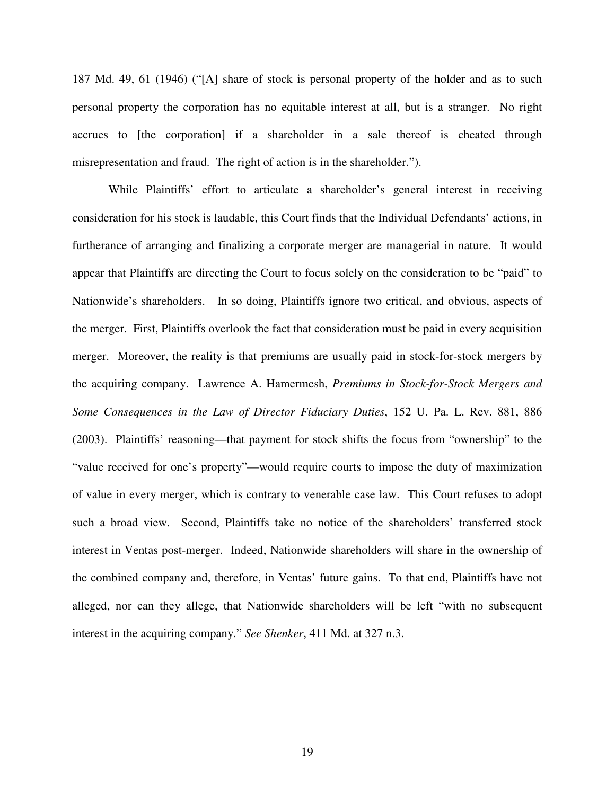187 Md. 49, 61 (1946) ("[A] share of stock is personal property of the holder and as to such personal property the corporation has no equitable interest at all, but is a stranger. No right accrues to [the corporation] if a shareholder in a sale thereof is cheated through misrepresentation and fraud. The right of action is in the shareholder.").

While Plaintiffs' effort to articulate a shareholder's general interest in receiving consideration for his stock is laudable, this Court finds that the Individual Defendants' actions, in furtherance of arranging and finalizing a corporate merger are managerial in nature. It would appear that Plaintiffs are directing the Court to focus solely on the consideration to be "paid" to Nationwide's shareholders. In so doing, Plaintiffs ignore two critical, and obvious, aspects of the merger. First, Plaintiffs overlook the fact that consideration must be paid in every acquisition merger. Moreover, the reality is that premiums are usually paid in stock-for-stock mergers by the acquiring company. Lawrence A. Hamermesh, *Premiums in Stock-for-Stock Mergers and Some Consequences in the Law of Director Fiduciary Duties*, 152 U. Pa. L. Rev. 881, 886 (2003). Plaintiffs' reasoning—that payment for stock shifts the focus from "ownership" to the "value received for one's property"—would require courts to impose the duty of maximization of value in every merger, which is contrary to venerable case law. This Court refuses to adopt such a broad view. Second, Plaintiffs take no notice of the shareholders' transferred stock interest in Ventas post-merger. Indeed, Nationwide shareholders will share in the ownership of the combined company and, therefore, in Ventas' future gains. To that end, Plaintiffs have not alleged, nor can they allege, that Nationwide shareholders will be left "with no subsequent interest in the acquiring company." *See Shenker*, 411 Md. at 327 n.3.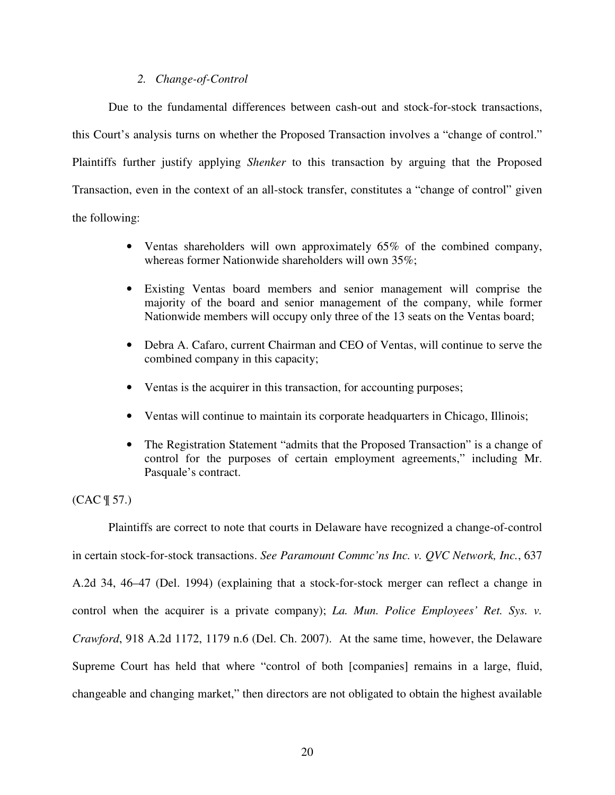# *2. Change-of-Control*

Due to the fundamental differences between cash-out and stock-for-stock transactions, this Court's analysis turns on whether the Proposed Transaction involves a "change of control." Plaintiffs further justify applying *Shenker* to this transaction by arguing that the Proposed Transaction, even in the context of an all-stock transfer, constitutes a "change of control" given the following:

- Ventas shareholders will own approximately 65% of the combined company, whereas former Nationwide shareholders will own 35%;
- Existing Ventas board members and senior management will comprise the majority of the board and senior management of the company, while former Nationwide members will occupy only three of the 13 seats on the Ventas board;
- Debra A. Cafaro, current Chairman and CEO of Ventas, will continue to serve the combined company in this capacity;
- Ventas is the acquirer in this transaction, for accounting purposes;
- Ventas will continue to maintain its corporate headquarters in Chicago, Illinois;
- The Registration Statement "admits that the Proposed Transaction" is a change of control for the purposes of certain employment agreements," including Mr. Pasquale's contract.

(CAC ¶ 57.)

Plaintiffs are correct to note that courts in Delaware have recognized a change-of-control in certain stock-for-stock transactions. *See Paramount Commc'ns Inc. v. QVC Network, Inc.*, 637 A.2d 34, 46–47 (Del. 1994) (explaining that a stock-for-stock merger can reflect a change in control when the acquirer is a private company); *La. Mun. Police Employees' Ret. Sys. v. Crawford*, 918 A.2d 1172, 1179 n.6 (Del. Ch. 2007). At the same time, however, the Delaware Supreme Court has held that where "control of both [companies] remains in a large, fluid, changeable and changing market," then directors are not obligated to obtain the highest available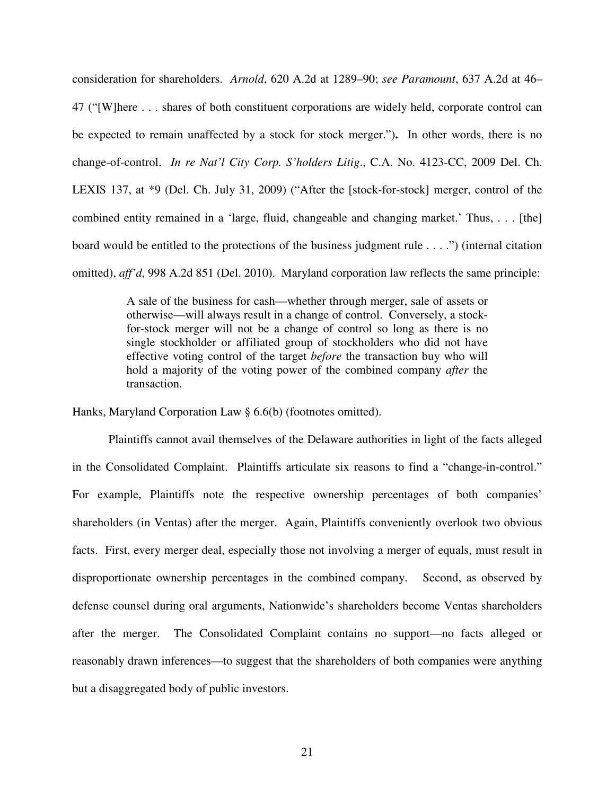consideration for shareholders. *Arnold*, 620 A.2d at 1289–90; *see Paramount*, 637 A.2d at 46– 47 ("[W]here . . . shares of both constituent corporations are widely held, corporate control can be expected to remain unaffected by a stock for stock merger.")**.** In other words, there is no change-of-control. *In re Nat'l City Corp. S'holders Litig*., C.A. No. 4123-CC, 2009 Del. Ch. LEXIS 137, at \*9 (Del. Ch. July 31, 2009) ("After the [stock-for-stock] merger, control of the combined entity remained in a 'large, fluid, changeable and changing market.' Thus, . . . [the] board would be entitled to the protections of the business judgment rule . . . .") (internal citation omitted), *aff'd*, 998 A.2d 851 (Del. 2010). Maryland corporation law reflects the same principle:

> A sale of the business for cash—whether through merger, sale of assets or otherwise—will always result in a change of control. Conversely, a stockfor-stock merger will not be a change of control so long as there is no single stockholder or affiliated group of stockholders who did not have effective voting control of the target *before* the transaction buy who will hold a majority of the voting power of the combined company *after* the transaction.

Hanks, Maryland Corporation Law § 6.6(b) (footnotes omitted).

Plaintiffs cannot avail themselves of the Delaware authorities in light of the facts alleged in the Consolidated Complaint. Plaintiffs articulate six reasons to find a "change-in-control." For example, Plaintiffs note the respective ownership percentages of both companies' shareholders (in Ventas) after the merger. Again, Plaintiffs conveniently overlook two obvious facts. First, every merger deal, especially those not involving a merger of equals, must result in disproportionate ownership percentages in the combined company. Second, as observed by defense counsel during oral arguments, Nationwide's shareholders become Ventas shareholders after the merger. The Consolidated Complaint contains no support—no facts alleged or reasonably drawn inferences—to suggest that the shareholders of both companies were anything but a disaggregated body of public investors.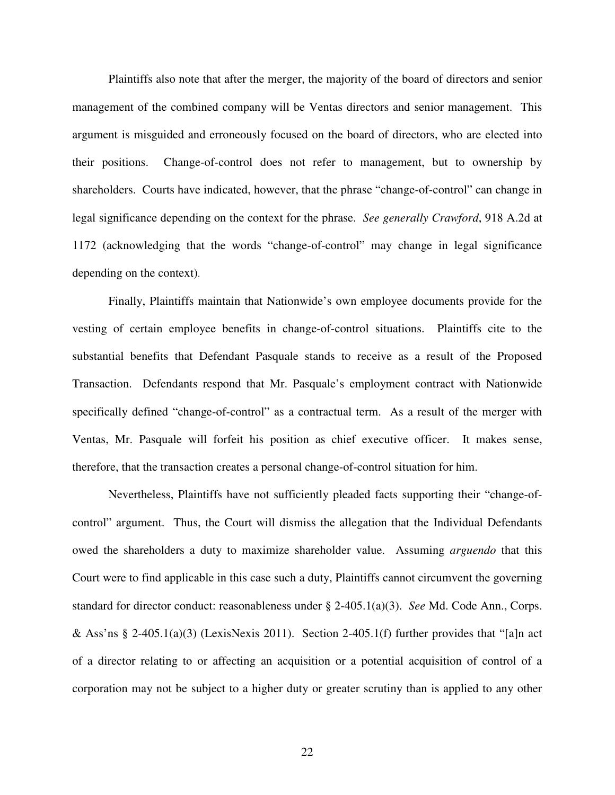Plaintiffs also note that after the merger, the majority of the board of directors and senior management of the combined company will be Ventas directors and senior management. This argument is misguided and erroneously focused on the board of directors, who are elected into their positions. Change-of-control does not refer to management, but to ownership by shareholders. Courts have indicated, however, that the phrase "change-of-control" can change in legal significance depending on the context for the phrase. *See generally Crawford*, 918 A.2d at 1172 (acknowledging that the words "change-of-control" may change in legal significance depending on the context).

Finally, Plaintiffs maintain that Nationwide's own employee documents provide for the vesting of certain employee benefits in change-of-control situations. Plaintiffs cite to the substantial benefits that Defendant Pasquale stands to receive as a result of the Proposed Transaction. Defendants respond that Mr. Pasquale's employment contract with Nationwide specifically defined "change-of-control" as a contractual term. As a result of the merger with Ventas, Mr. Pasquale will forfeit his position as chief executive officer. It makes sense, therefore, that the transaction creates a personal change-of-control situation for him.

Nevertheless, Plaintiffs have not sufficiently pleaded facts supporting their "change-ofcontrol" argument. Thus, the Court will dismiss the allegation that the Individual Defendants owed the shareholders a duty to maximize shareholder value. Assuming *arguendo* that this Court were to find applicable in this case such a duty, Plaintiffs cannot circumvent the governing standard for director conduct: reasonableness under § 2-405.1(a)(3). *See* Md. Code Ann., Corps. & Ass'ns § 2-405.1(a)(3) (LexisNexis 2011). Section 2-405.1(f) further provides that "[a]n act of a director relating to or affecting an acquisition or a potential acquisition of control of a corporation may not be subject to a higher duty or greater scrutiny than is applied to any other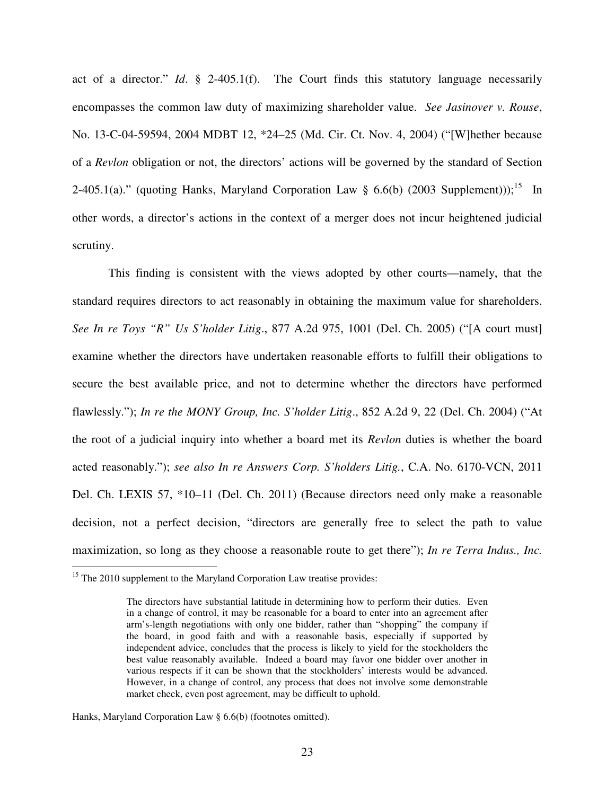act of a director." *Id*. § 2-405.1(f). The Court finds this statutory language necessarily encompasses the common law duty of maximizing shareholder value. *See Jasinover v. Rouse*, No. 13-C-04-59594, 2004 MDBT 12, \*24–25 (Md. Cir. Ct. Nov. 4, 2004) ("[W]hether because of a *Revlon* obligation or not, the directors' actions will be governed by the standard of Section 2-405.1(a)." (quoting Hanks, Maryland Corporation Law  $\S$  6.6(b) (2003 Supplement)));<sup>15</sup> In other words, a director's actions in the context of a merger does not incur heightened judicial scrutiny.

This finding is consistent with the views adopted by other courts—namely, that the standard requires directors to act reasonably in obtaining the maximum value for shareholders. *See In re Toys "R" Us S'holder Litig*., 877 A.2d 975, 1001 (Del. Ch. 2005) ("[A court must] examine whether the directors have undertaken reasonable efforts to fulfill their obligations to secure the best available price, and not to determine whether the directors have performed flawlessly."); *In re the MONY Group, Inc. S'holder Litig*., 852 A.2d 9, 22 (Del. Ch. 2004) ("At the root of a judicial inquiry into whether a board met its *Revlon* duties is whether the board acted reasonably."); *see also In re Answers Corp. S'holders Litig.*, C.A. No. 6170-VCN, 2011 Del. Ch. LEXIS 57, \*10–11 (Del. Ch. 2011) (Because directors need only make a reasonable decision, not a perfect decision, "directors are generally free to select the path to value maximization, so long as they choose a reasonable route to get there"); *In re Terra Indus., Inc.* 

 $\overline{a}$ 

<sup>&</sup>lt;sup>15</sup> The 2010 supplement to the Maryland Corporation Law treatise provides:

The directors have substantial latitude in determining how to perform their duties. Even in a change of control, it may be reasonable for a board to enter into an agreement after arm's-length negotiations with only one bidder, rather than "shopping" the company if the board, in good faith and with a reasonable basis, especially if supported by independent advice, concludes that the process is likely to yield for the stockholders the best value reasonably available. Indeed a board may favor one bidder over another in various respects if it can be shown that the stockholders' interests would be advanced. However, in a change of control, any process that does not involve some demonstrable market check, even post agreement, may be difficult to uphold.

Hanks, Maryland Corporation Law § 6.6(b) (footnotes omitted).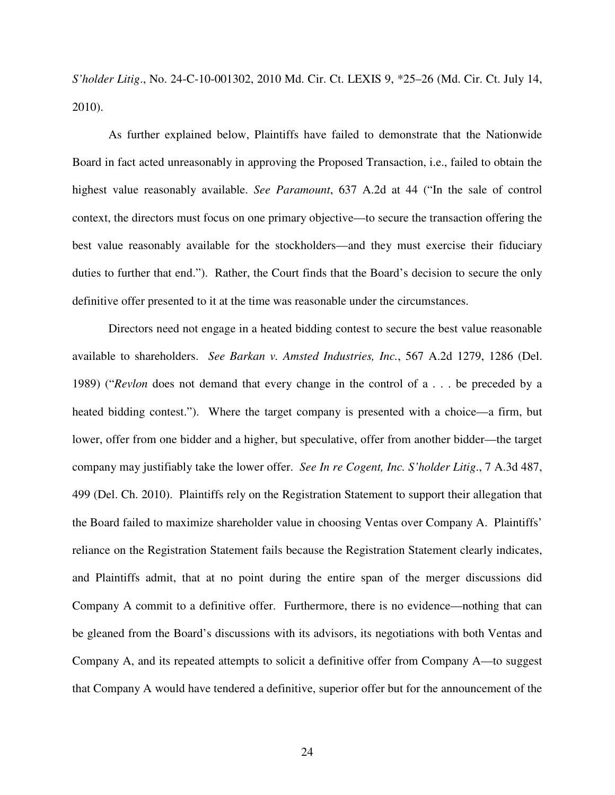*S'holder Litig*., No. 24-C-10-001302, 2010 Md. Cir. Ct. LEXIS 9, \*25–26 (Md. Cir. Ct. July 14, 2010).

As further explained below, Plaintiffs have failed to demonstrate that the Nationwide Board in fact acted unreasonably in approving the Proposed Transaction, i.e., failed to obtain the highest value reasonably available. *See Paramount*, 637 A.2d at 44 ("In the sale of control context, the directors must focus on one primary objective—to secure the transaction offering the best value reasonably available for the stockholders—and they must exercise their fiduciary duties to further that end."). Rather, the Court finds that the Board's decision to secure the only definitive offer presented to it at the time was reasonable under the circumstances.

Directors need not engage in a heated bidding contest to secure the best value reasonable available to shareholders. *See Barkan v. Amsted Industries, Inc.*, 567 A.2d 1279, 1286 (Del. 1989) ("*Revlon* does not demand that every change in the control of a . . . be preceded by a heated bidding contest."). Where the target company is presented with a choice—a firm, but lower, offer from one bidder and a higher, but speculative, offer from another bidder—the target company may justifiably take the lower offer. *See In re Cogent, Inc. S'holder Litig*., 7 A.3d 487, 499 (Del. Ch. 2010). Plaintiffs rely on the Registration Statement to support their allegation that the Board failed to maximize shareholder value in choosing Ventas over Company A. Plaintiffs' reliance on the Registration Statement fails because the Registration Statement clearly indicates, and Plaintiffs admit, that at no point during the entire span of the merger discussions did Company A commit to a definitive offer. Furthermore, there is no evidence—nothing that can be gleaned from the Board's discussions with its advisors, its negotiations with both Ventas and Company A, and its repeated attempts to solicit a definitive offer from Company A—to suggest that Company A would have tendered a definitive, superior offer but for the announcement of the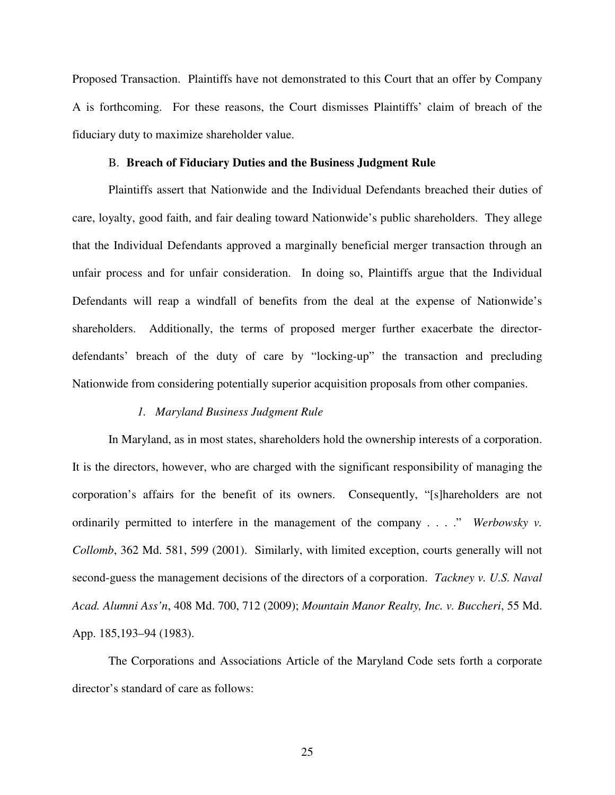Proposed Transaction. Plaintiffs have not demonstrated to this Court that an offer by Company A is forthcoming. For these reasons, the Court dismisses Plaintiffs' claim of breach of the fiduciary duty to maximize shareholder value.

## B. **Breach of Fiduciary Duties and the Business Judgment Rule**

Plaintiffs assert that Nationwide and the Individual Defendants breached their duties of care, loyalty, good faith, and fair dealing toward Nationwide's public shareholders. They allege that the Individual Defendants approved a marginally beneficial merger transaction through an unfair process and for unfair consideration. In doing so, Plaintiffs argue that the Individual Defendants will reap a windfall of benefits from the deal at the expense of Nationwide's shareholders. Additionally, the terms of proposed merger further exacerbate the directordefendants' breach of the duty of care by "locking-up" the transaction and precluding Nationwide from considering potentially superior acquisition proposals from other companies.

## *1. Maryland Business Judgment Rule*

In Maryland, as in most states, shareholders hold the ownership interests of a corporation. It is the directors, however, who are charged with the significant responsibility of managing the corporation's affairs for the benefit of its owners. Consequently, "[s]hareholders are not ordinarily permitted to interfere in the management of the company . . . ." *Werbowsky v. Collomb*, 362 Md. 581, 599 (2001). Similarly, with limited exception, courts generally will not second-guess the management decisions of the directors of a corporation. *Tackney v. U.S. Naval Acad. Alumni Ass'n*, 408 Md. 700, 712 (2009); *Mountain Manor Realty, Inc. v. Buccheri*, 55 Md. App. 185,193–94 (1983).

The Corporations and Associations Article of the Maryland Code sets forth a corporate director's standard of care as follows: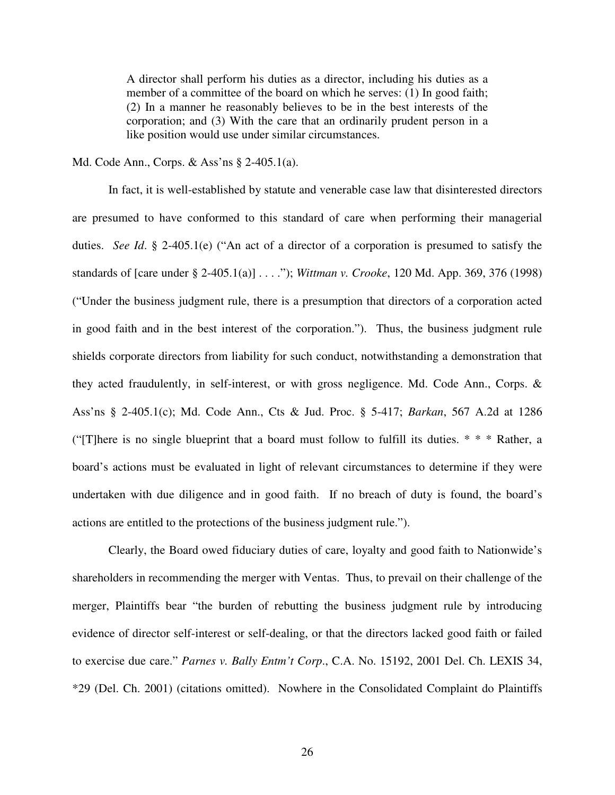A director shall perform his duties as a director, including his duties as a member of a committee of the board on which he serves: (1) In good faith; (2) In a manner he reasonably believes to be in the best interests of the corporation; and (3) With the care that an ordinarily prudent person in a like position would use under similar circumstances.

Md. Code Ann., Corps. & Ass'ns § 2-405.1(a).

In fact, it is well-established by statute and venerable case law that disinterested directors are presumed to have conformed to this standard of care when performing their managerial duties. *See Id*. § 2-405.1(e) ("An act of a director of a corporation is presumed to satisfy the standards of [care under § 2-405.1(a)] . . . ."); *Wittman v. Crooke*, 120 Md. App. 369, 376 (1998) ("Under the business judgment rule, there is a presumption that directors of a corporation acted in good faith and in the best interest of the corporation."). Thus, the business judgment rule shields corporate directors from liability for such conduct, notwithstanding a demonstration that they acted fraudulently, in self-interest, or with gross negligence. Md. Code Ann., Corps. & Ass'ns § 2-405.1(c); Md. Code Ann., Cts & Jud. Proc. § 5-417; *Barkan*, 567 A.2d at 1286 ("There is no single blueprint that a board must follow to fulfill its duties.  $* * *$  Rather, a board's actions must be evaluated in light of relevant circumstances to determine if they were undertaken with due diligence and in good faith. If no breach of duty is found, the board's actions are entitled to the protections of the business judgment rule.").

Clearly, the Board owed fiduciary duties of care, loyalty and good faith to Nationwide's shareholders in recommending the merger with Ventas. Thus, to prevail on their challenge of the merger, Plaintiffs bear "the burden of rebutting the business judgment rule by introducing evidence of director self-interest or self-dealing, or that the directors lacked good faith or failed to exercise due care." *Parnes v. Bally Entm't Corp*., C.A. No. 15192, 2001 Del. Ch. LEXIS 34, \*29 (Del. Ch. 2001) (citations omitted). Nowhere in the Consolidated Complaint do Plaintiffs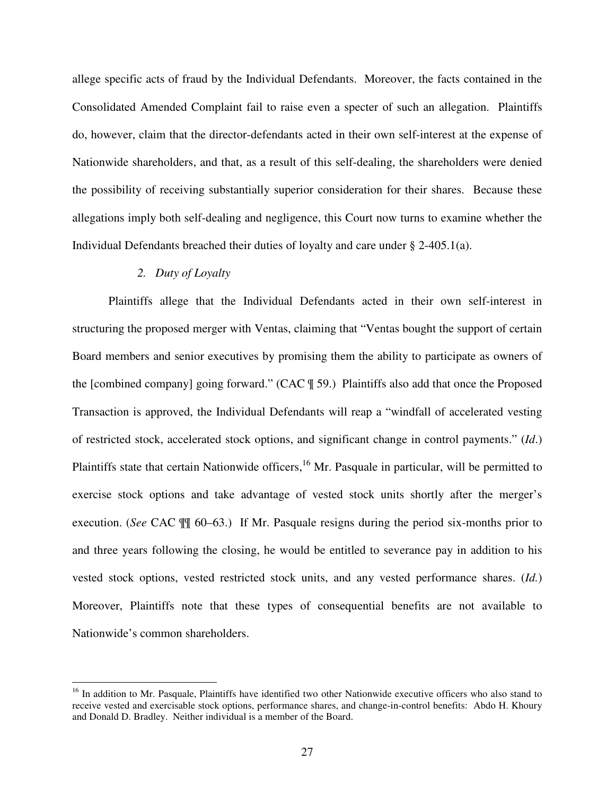allege specific acts of fraud by the Individual Defendants. Moreover, the facts contained in the Consolidated Amended Complaint fail to raise even a specter of such an allegation. Plaintiffs do, however, claim that the director-defendants acted in their own self-interest at the expense of Nationwide shareholders, and that, as a result of this self-dealing, the shareholders were denied the possibility of receiving substantially superior consideration for their shares. Because these allegations imply both self-dealing and negligence, this Court now turns to examine whether the Individual Defendants breached their duties of loyalty and care under § 2-405.1(a).

## *2. Duty of Loyalty*

 $\overline{a}$ 

Plaintiffs allege that the Individual Defendants acted in their own self-interest in structuring the proposed merger with Ventas, claiming that "Ventas bought the support of certain Board members and senior executives by promising them the ability to participate as owners of the [combined company] going forward." (CAC ¶ 59.) Plaintiffs also add that once the Proposed Transaction is approved, the Individual Defendants will reap a "windfall of accelerated vesting of restricted stock, accelerated stock options, and significant change in control payments." (*Id*.) Plaintiffs state that certain Nationwide officers,<sup>16</sup> Mr. Pasquale in particular, will be permitted to exercise stock options and take advantage of vested stock units shortly after the merger's execution. (*See* CAC ¶¶ 60–63.) If Mr. Pasquale resigns during the period six-months prior to and three years following the closing, he would be entitled to severance pay in addition to his vested stock options, vested restricted stock units, and any vested performance shares. (*Id.*) Moreover, Plaintiffs note that these types of consequential benefits are not available to Nationwide's common shareholders.

<sup>&</sup>lt;sup>16</sup> In addition to Mr. Pasquale, Plaintiffs have identified two other Nationwide executive officers who also stand to receive vested and exercisable stock options, performance shares, and change-in-control benefits: Abdo H. Khoury and Donald D. Bradley. Neither individual is a member of the Board.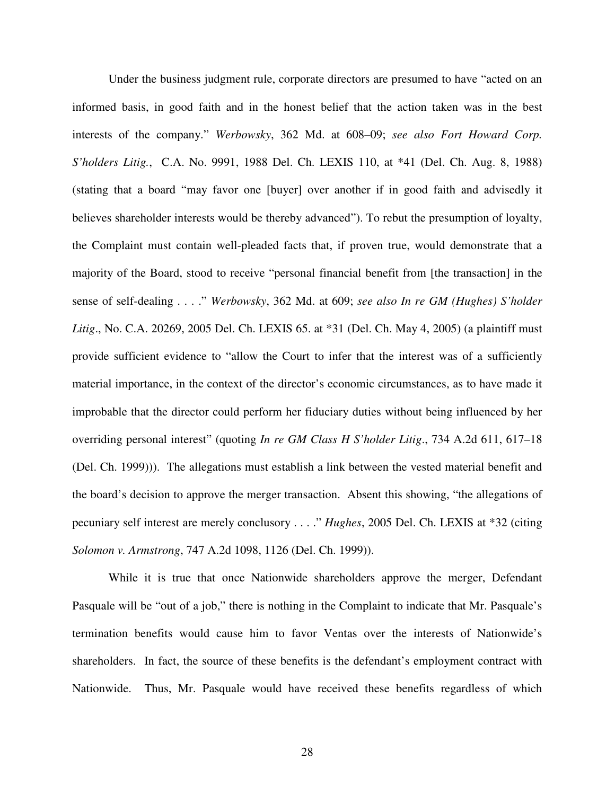Under the business judgment rule, corporate directors are presumed to have "acted on an informed basis, in good faith and in the honest belief that the action taken was in the best interests of the company." *Werbowsky*, 362 Md. at 608–09; *see also Fort Howard Corp. S'holders Litig.*, C.A. No. 9991, 1988 Del. Ch. LEXIS 110, at \*41 (Del. Ch. Aug. 8, 1988) (stating that a board "may favor one [buyer] over another if in good faith and advisedly it believes shareholder interests would be thereby advanced"). To rebut the presumption of loyalty, the Complaint must contain well-pleaded facts that, if proven true, would demonstrate that a majority of the Board, stood to receive "personal financial benefit from [the transaction] in the sense of self-dealing . . . ." *Werbowsky*, 362 Md. at 609; *see also In re GM (Hughes) S'holder Litig*., No. C.A. 20269, 2005 Del. Ch. LEXIS 65. at \*31 (Del. Ch. May 4, 2005) (a plaintiff must provide sufficient evidence to "allow the Court to infer that the interest was of a sufficiently material importance, in the context of the director's economic circumstances, as to have made it improbable that the director could perform her fiduciary duties without being influenced by her overriding personal interest" (quoting *In re GM Class H S'holder Litig*., 734 A.2d 611, 617–18 (Del. Ch. 1999))). The allegations must establish a link between the vested material benefit and the board's decision to approve the merger transaction. Absent this showing, "the allegations of pecuniary self interest are merely conclusory . . . ." *Hughes*, 2005 Del. Ch. LEXIS at \*32 (citing *Solomon v. Armstrong*, 747 A.2d 1098, 1126 (Del. Ch. 1999)).

While it is true that once Nationwide shareholders approve the merger, Defendant Pasquale will be "out of a job," there is nothing in the Complaint to indicate that Mr. Pasquale's termination benefits would cause him to favor Ventas over the interests of Nationwide's shareholders. In fact, the source of these benefits is the defendant's employment contract with Nationwide. Thus, Mr. Pasquale would have received these benefits regardless of which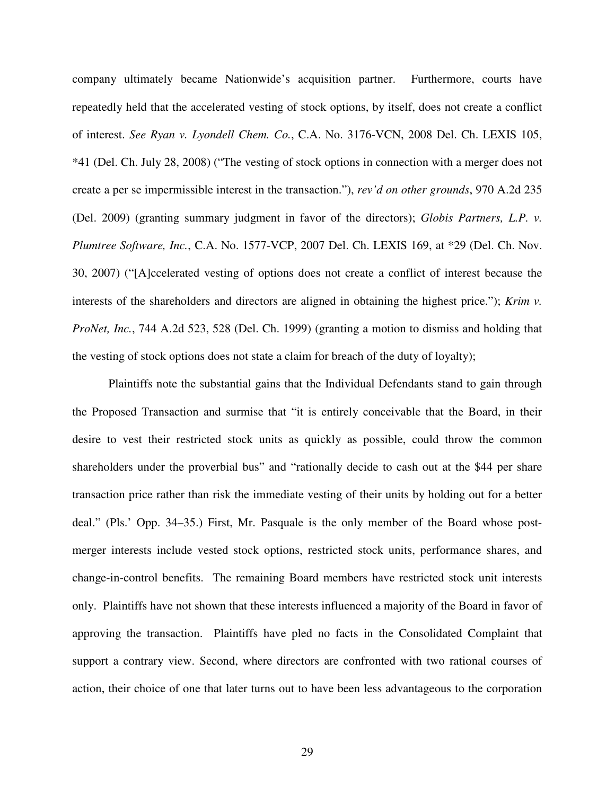company ultimately became Nationwide's acquisition partner. Furthermore, courts have repeatedly held that the accelerated vesting of stock options, by itself, does not create a conflict of interest. *See Ryan v. Lyondell Chem. Co.*, C.A. No. 3176-VCN, 2008 Del. Ch. LEXIS 105, \*41 (Del. Ch. July 28, 2008) ("The vesting of stock options in connection with a merger does not create a per se impermissible interest in the transaction."), *rev'd on other grounds*, 970 A.2d 235 (Del. 2009) (granting summary judgment in favor of the directors); *Globis Partners, L.P. v. Plumtree Software, Inc.*, C.A. No. 1577-VCP, 2007 Del. Ch. LEXIS 169, at \*29 (Del. Ch. Nov. 30, 2007) ("[A]ccelerated vesting of options does not create a conflict of interest because the interests of the shareholders and directors are aligned in obtaining the highest price."); *Krim v. ProNet, Inc.*, 744 A.2d 523, 528 (Del. Ch. 1999) (granting a motion to dismiss and holding that the vesting of stock options does not state a claim for breach of the duty of loyalty);

Plaintiffs note the substantial gains that the Individual Defendants stand to gain through the Proposed Transaction and surmise that "it is entirely conceivable that the Board, in their desire to vest their restricted stock units as quickly as possible, could throw the common shareholders under the proverbial bus" and "rationally decide to cash out at the \$44 per share transaction price rather than risk the immediate vesting of their units by holding out for a better deal." (Pls.' Opp. 34–35.) First, Mr. Pasquale is the only member of the Board whose postmerger interests include vested stock options, restricted stock units, performance shares, and change-in-control benefits. The remaining Board members have restricted stock unit interests only. Plaintiffs have not shown that these interests influenced a majority of the Board in favor of approving the transaction. Plaintiffs have pled no facts in the Consolidated Complaint that support a contrary view. Second, where directors are confronted with two rational courses of action, their choice of one that later turns out to have been less advantageous to the corporation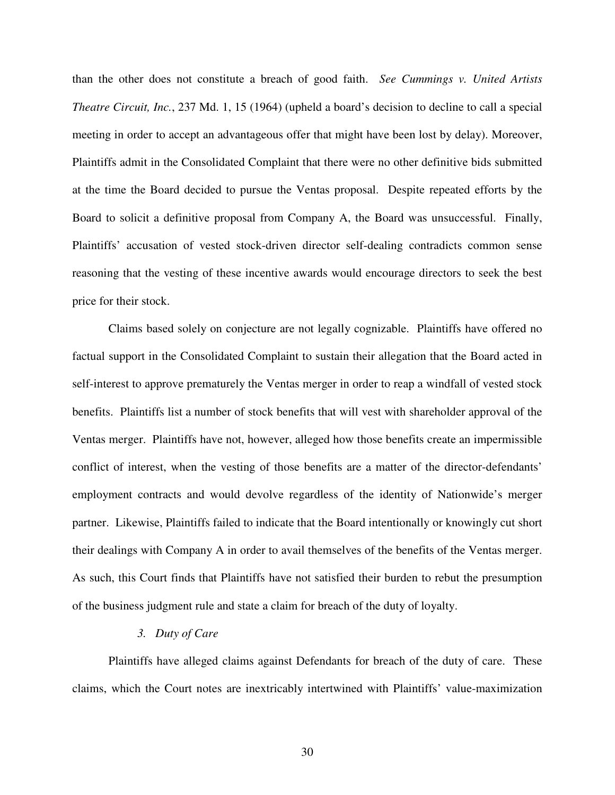than the other does not constitute a breach of good faith. *See Cummings v. United Artists Theatre Circuit, Inc.*, 237 Md. 1, 15 (1964) (upheld a board's decision to decline to call a special meeting in order to accept an advantageous offer that might have been lost by delay). Moreover, Plaintiffs admit in the Consolidated Complaint that there were no other definitive bids submitted at the time the Board decided to pursue the Ventas proposal. Despite repeated efforts by the Board to solicit a definitive proposal from Company A, the Board was unsuccessful. Finally, Plaintiffs' accusation of vested stock-driven director self-dealing contradicts common sense reasoning that the vesting of these incentive awards would encourage directors to seek the best price for their stock.

Claims based solely on conjecture are not legally cognizable. Plaintiffs have offered no factual support in the Consolidated Complaint to sustain their allegation that the Board acted in self-interest to approve prematurely the Ventas merger in order to reap a windfall of vested stock benefits. Plaintiffs list a number of stock benefits that will vest with shareholder approval of the Ventas merger. Plaintiffs have not, however, alleged how those benefits create an impermissible conflict of interest, when the vesting of those benefits are a matter of the director-defendants' employment contracts and would devolve regardless of the identity of Nationwide's merger partner. Likewise, Plaintiffs failed to indicate that the Board intentionally or knowingly cut short their dealings with Company A in order to avail themselves of the benefits of the Ventas merger. As such, this Court finds that Plaintiffs have not satisfied their burden to rebut the presumption of the business judgment rule and state a claim for breach of the duty of loyalty.

#### *3. Duty of Care*

Plaintiffs have alleged claims against Defendants for breach of the duty of care. These claims, which the Court notes are inextricably intertwined with Plaintiffs' value-maximization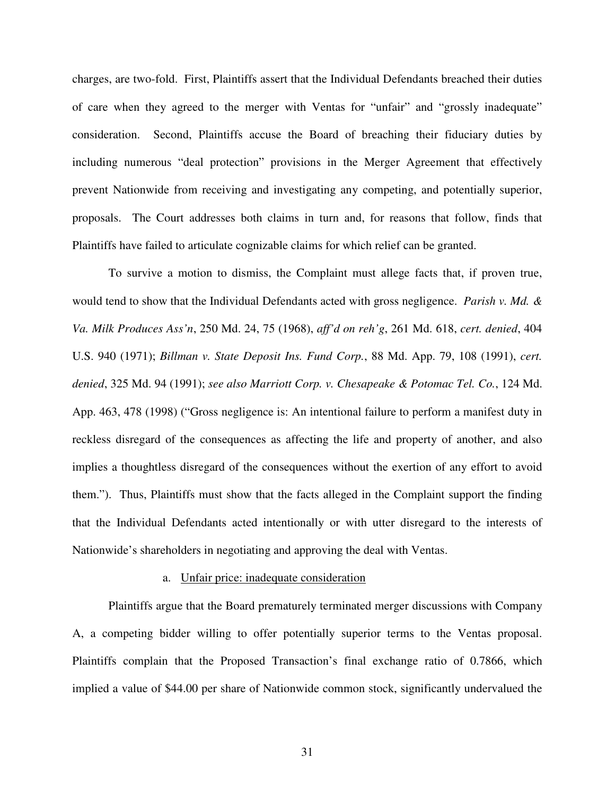charges, are two-fold. First, Plaintiffs assert that the Individual Defendants breached their duties of care when they agreed to the merger with Ventas for "unfair" and "grossly inadequate" consideration. Second, Plaintiffs accuse the Board of breaching their fiduciary duties by including numerous "deal protection" provisions in the Merger Agreement that effectively prevent Nationwide from receiving and investigating any competing, and potentially superior, proposals. The Court addresses both claims in turn and, for reasons that follow, finds that Plaintiffs have failed to articulate cognizable claims for which relief can be granted.

To survive a motion to dismiss, the Complaint must allege facts that, if proven true, would tend to show that the Individual Defendants acted with gross negligence. *Parish v. Md. & Va. Milk Produces Ass'n*, 250 Md. 24, 75 (1968), *aff'd on reh'g*, 261 Md. 618, *cert. denied*, 404 U.S. 940 (1971); *Billman v. State Deposit Ins. Fund Corp.*, 88 Md. App. 79, 108 (1991), *cert. denied*, 325 Md. 94 (1991); *see also Marriott Corp. v. Chesapeake & Potomac Tel. Co.*, 124 Md. App. 463, 478 (1998) ("Gross negligence is: An intentional failure to perform a manifest duty in reckless disregard of the consequences as affecting the life and property of another, and also implies a thoughtless disregard of the consequences without the exertion of any effort to avoid them."). Thus, Plaintiffs must show that the facts alleged in the Complaint support the finding that the Individual Defendants acted intentionally or with utter disregard to the interests of Nationwide's shareholders in negotiating and approving the deal with Ventas.

#### a. Unfair price: inadequate consideration

Plaintiffs argue that the Board prematurely terminated merger discussions with Company A, a competing bidder willing to offer potentially superior terms to the Ventas proposal. Plaintiffs complain that the Proposed Transaction's final exchange ratio of 0.7866, which implied a value of \$44.00 per share of Nationwide common stock, significantly undervalued the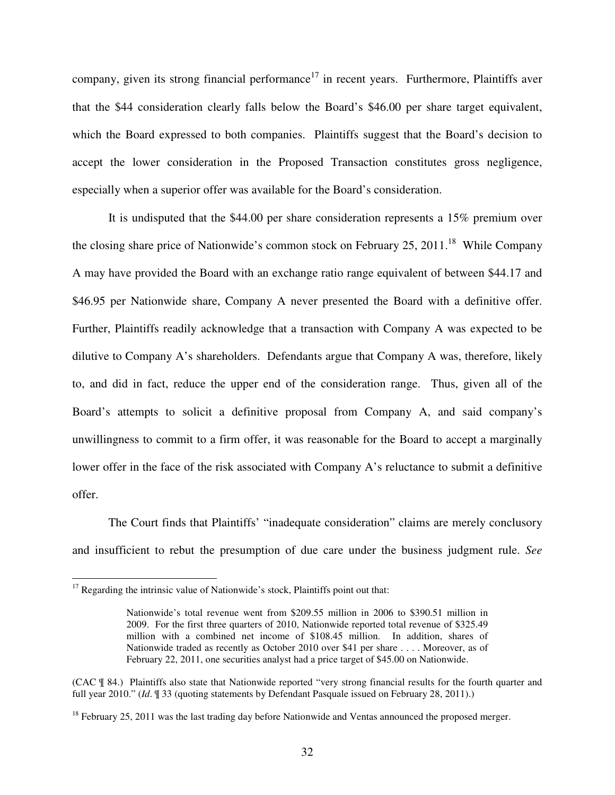company, given its strong financial performance<sup>17</sup> in recent years. Furthermore, Plaintiffs aver that the \$44 consideration clearly falls below the Board's \$46.00 per share target equivalent, which the Board expressed to both companies. Plaintiffs suggest that the Board's decision to accept the lower consideration in the Proposed Transaction constitutes gross negligence, especially when a superior offer was available for the Board's consideration.

It is undisputed that the \$44.00 per share consideration represents a 15% premium over the closing share price of Nationwide's common stock on February 25, 2011.<sup>18</sup> While Company A may have provided the Board with an exchange ratio range equivalent of between \$44.17 and \$46.95 per Nationwide share, Company A never presented the Board with a definitive offer. Further, Plaintiffs readily acknowledge that a transaction with Company A was expected to be dilutive to Company A's shareholders. Defendants argue that Company A was, therefore, likely to, and did in fact, reduce the upper end of the consideration range. Thus, given all of the Board's attempts to solicit a definitive proposal from Company A, and said company's unwillingness to commit to a firm offer, it was reasonable for the Board to accept a marginally lower offer in the face of the risk associated with Company A's reluctance to submit a definitive offer.

The Court finds that Plaintiffs' "inadequate consideration" claims are merely conclusory and insufficient to rebut the presumption of due care under the business judgment rule. *See*

 $\overline{a}$ 

 $17$  Regarding the intrinsic value of Nationwide's stock, Plaintiffs point out that:

Nationwide's total revenue went from \$209.55 million in 2006 to \$390.51 million in 2009. For the first three quarters of 2010, Nationwide reported total revenue of \$325.49 million with a combined net income of \$108.45 million. In addition, shares of Nationwide traded as recently as October 2010 over \$41 per share . . . . Moreover, as of February 22, 2011, one securities analyst had a price target of \$45.00 on Nationwide.

<sup>(</sup>CAC ¶ 84.) Plaintiffs also state that Nationwide reported "very strong financial results for the fourth quarter and full year 2010." (*Id*. ¶ 33 (quoting statements by Defendant Pasquale issued on February 28, 2011).)

 $18$  February 25, 2011 was the last trading day before Nationwide and Ventas announced the proposed merger.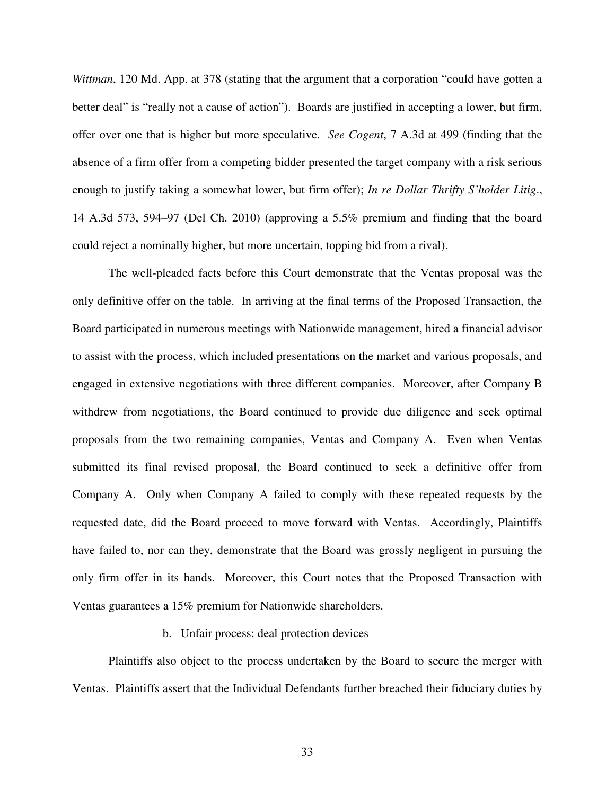*Wittman*, 120 Md. App. at 378 (stating that the argument that a corporation "could have gotten a better deal" is "really not a cause of action"). Boards are justified in accepting a lower, but firm, offer over one that is higher but more speculative. *See Cogent*, 7 A.3d at 499 (finding that the absence of a firm offer from a competing bidder presented the target company with a risk serious enough to justify taking a somewhat lower, but firm offer); *In re Dollar Thrifty S'holder Litig*., 14 A.3d 573, 594–97 (Del Ch. 2010) (approving a 5.5% premium and finding that the board could reject a nominally higher, but more uncertain, topping bid from a rival).

The well-pleaded facts before this Court demonstrate that the Ventas proposal was the only definitive offer on the table. In arriving at the final terms of the Proposed Transaction, the Board participated in numerous meetings with Nationwide management, hired a financial advisor to assist with the process, which included presentations on the market and various proposals, and engaged in extensive negotiations with three different companies. Moreover, after Company B withdrew from negotiations, the Board continued to provide due diligence and seek optimal proposals from the two remaining companies, Ventas and Company A. Even when Ventas submitted its final revised proposal, the Board continued to seek a definitive offer from Company A. Only when Company A failed to comply with these repeated requests by the requested date, did the Board proceed to move forward with Ventas. Accordingly, Plaintiffs have failed to, nor can they, demonstrate that the Board was grossly negligent in pursuing the only firm offer in its hands. Moreover, this Court notes that the Proposed Transaction with Ventas guarantees a 15% premium for Nationwide shareholders.

#### b. Unfair process: deal protection devices

Plaintiffs also object to the process undertaken by the Board to secure the merger with Ventas. Plaintiffs assert that the Individual Defendants further breached their fiduciary duties by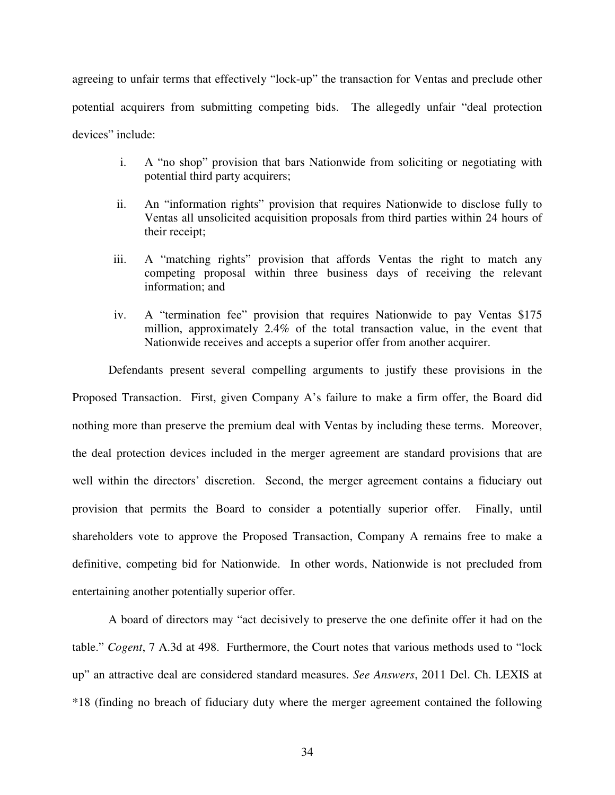agreeing to unfair terms that effectively "lock-up" the transaction for Ventas and preclude other potential acquirers from submitting competing bids. The allegedly unfair "deal protection devices" include:

- i. A "no shop" provision that bars Nationwide from soliciting or negotiating with potential third party acquirers;
- ii. An "information rights" provision that requires Nationwide to disclose fully to Ventas all unsolicited acquisition proposals from third parties within 24 hours of their receipt;
- iii. A "matching rights" provision that affords Ventas the right to match any competing proposal within three business days of receiving the relevant information; and
- iv. A "termination fee" provision that requires Nationwide to pay Ventas \$175 million, approximately 2.4% of the total transaction value, in the event that Nationwide receives and accepts a superior offer from another acquirer.

Defendants present several compelling arguments to justify these provisions in the Proposed Transaction. First, given Company A's failure to make a firm offer, the Board did nothing more than preserve the premium deal with Ventas by including these terms. Moreover, the deal protection devices included in the merger agreement are standard provisions that are well within the directors' discretion. Second, the merger agreement contains a fiduciary out provision that permits the Board to consider a potentially superior offer. Finally, until shareholders vote to approve the Proposed Transaction, Company A remains free to make a definitive, competing bid for Nationwide. In other words, Nationwide is not precluded from entertaining another potentially superior offer.

A board of directors may "act decisively to preserve the one definite offer it had on the table." *Cogent*, 7 A.3d at 498. Furthermore, the Court notes that various methods used to "lock up" an attractive deal are considered standard measures. *See Answers*, 2011 Del. Ch. LEXIS at \*18 (finding no breach of fiduciary duty where the merger agreement contained the following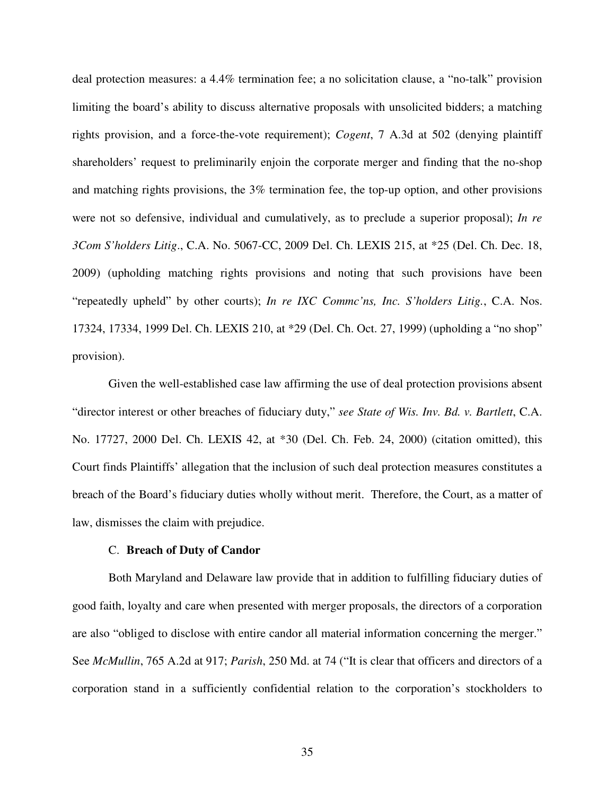deal protection measures: a 4.4% termination fee; a no solicitation clause, a "no-talk" provision limiting the board's ability to discuss alternative proposals with unsolicited bidders; a matching rights provision, and a force-the-vote requirement); *Cogent*, 7 A.3d at 502 (denying plaintiff shareholders' request to preliminarily enjoin the corporate merger and finding that the no-shop and matching rights provisions, the 3% termination fee, the top-up option, and other provisions were not so defensive, individual and cumulatively, as to preclude a superior proposal); *In re 3Com S'holders Litig*., C.A. No. 5067-CC, 2009 Del. Ch. LEXIS 215, at \*25 (Del. Ch. Dec. 18, 2009) (upholding matching rights provisions and noting that such provisions have been "repeatedly upheld" by other courts); *In re IXC Commc'ns, Inc. S'holders Litig.*, C.A. Nos. 17324, 17334, 1999 Del. Ch. LEXIS 210, at \*29 (Del. Ch. Oct. 27, 1999) (upholding a "no shop" provision).

Given the well-established case law affirming the use of deal protection provisions absent "director interest or other breaches of fiduciary duty," *see State of Wis. Inv. Bd. v. Bartlett*, C.A. No. 17727, 2000 Del. Ch. LEXIS 42, at \*30 (Del. Ch. Feb. 24, 2000) (citation omitted), this Court finds Plaintiffs' allegation that the inclusion of such deal protection measures constitutes a breach of the Board's fiduciary duties wholly without merit. Therefore, the Court, as a matter of law, dismisses the claim with prejudice.

#### C. **Breach of Duty of Candor**

Both Maryland and Delaware law provide that in addition to fulfilling fiduciary duties of good faith, loyalty and care when presented with merger proposals, the directors of a corporation are also "obliged to disclose with entire candor all material information concerning the merger." See *McMullin*, 765 A.2d at 917; *Parish*, 250 Md. at 74 ("It is clear that officers and directors of a corporation stand in a sufficiently confidential relation to the corporation's stockholders to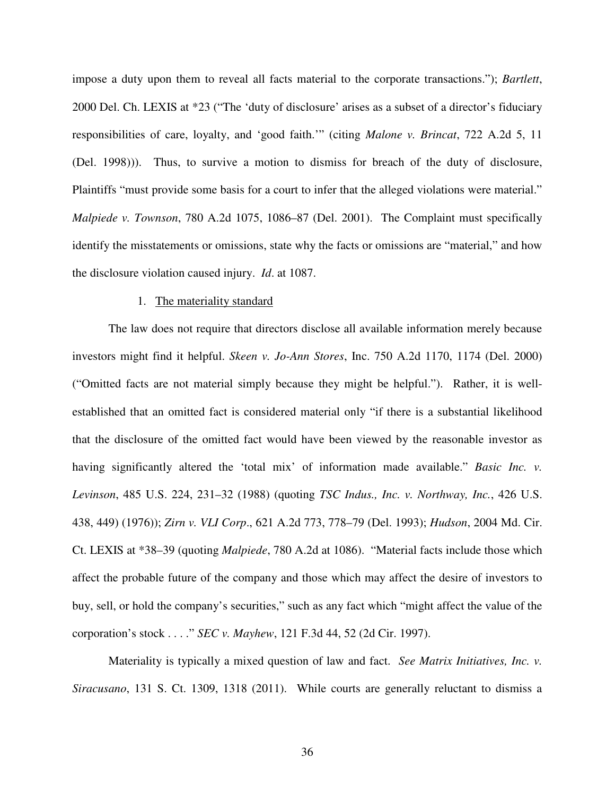impose a duty upon them to reveal all facts material to the corporate transactions."); *Bartlett*, 2000 Del. Ch. LEXIS at \*23 ("The 'duty of disclosure' arises as a subset of a director's fiduciary responsibilities of care, loyalty, and 'good faith.'" (citing *Malone v. Brincat*, 722 A.2d 5, 11 (Del. 1998))). Thus, to survive a motion to dismiss for breach of the duty of disclosure, Plaintiffs "must provide some basis for a court to infer that the alleged violations were material." *Malpiede v. Townson*, 780 A.2d 1075, 1086–87 (Del. 2001). The Complaint must specifically identify the misstatements or omissions, state why the facts or omissions are "material," and how the disclosure violation caused injury. *Id*. at 1087.

#### 1. The materiality standard

The law does not require that directors disclose all available information merely because investors might find it helpful. *Skeen v. Jo-Ann Stores*, Inc. 750 A.2d 1170, 1174 (Del. 2000) ("Omitted facts are not material simply because they might be helpful."). Rather, it is wellestablished that an omitted fact is considered material only "if there is a substantial likelihood that the disclosure of the omitted fact would have been viewed by the reasonable investor as having significantly altered the 'total mix' of information made available." *Basic Inc. v. Levinson*, 485 U.S. 224, 231–32 (1988) (quoting *TSC Indus., Inc. v. Northway, Inc.*, 426 U.S. 438, 449) (1976)); *Zirn v. VLI Corp*., 621 A.2d 773, 778–79 (Del. 1993); *Hudson*, 2004 Md. Cir. Ct. LEXIS at \*38–39 (quoting *Malpiede*, 780 A.2d at 1086). "Material facts include those which affect the probable future of the company and those which may affect the desire of investors to buy, sell, or hold the company's securities," such as any fact which "might affect the value of the corporation's stock . . . ." *SEC v. Mayhew*, 121 F.3d 44, 52 (2d Cir. 1997).

Materiality is typically a mixed question of law and fact. *See Matrix Initiatives, Inc. v. Siracusano*, 131 S. Ct. 1309, 1318 (2011). While courts are generally reluctant to dismiss a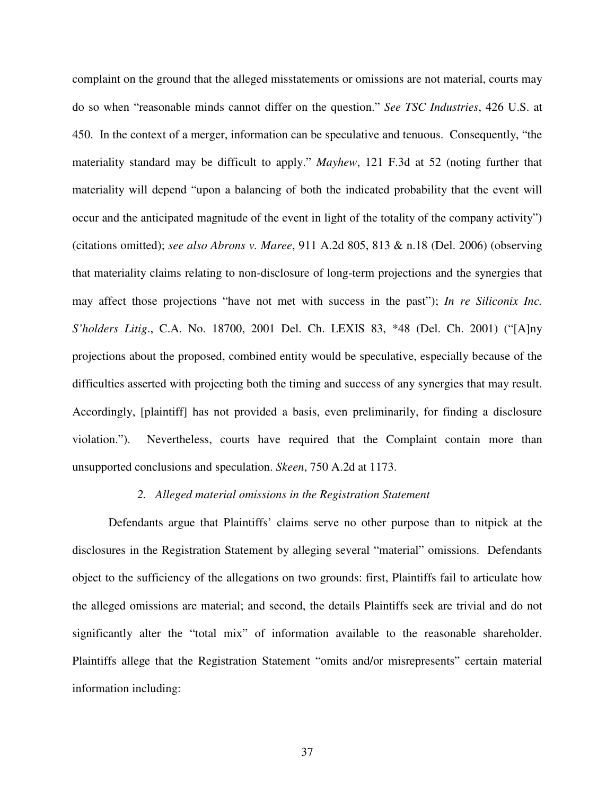complaint on the ground that the alleged misstatements or omissions are not material, courts may do so when "reasonable minds cannot differ on the question." *See TSC Industries*, 426 U.S. at 450. In the context of a merger, information can be speculative and tenuous. Consequently, "the materiality standard may be difficult to apply." *Mayhew*, 121 F.3d at 52 (noting further that materiality will depend "upon a balancing of both the indicated probability that the event will occur and the anticipated magnitude of the event in light of the totality of the company activity") (citations omitted); *see also Abrons v. Maree*, 911 A.2d 805, 813 & n.18 (Del. 2006) (observing that materiality claims relating to non-disclosure of long-term projections and the synergies that may affect those projections "have not met with success in the past"); *In re Siliconix Inc. S'holders Litig*., C.A. No. 18700, 2001 Del. Ch. LEXIS 83, \*48 (Del. Ch. 2001) ("[A]ny projections about the proposed, combined entity would be speculative, especially because of the difficulties asserted with projecting both the timing and success of any synergies that may result. Accordingly, [plaintiff] has not provided a basis, even preliminarily, for finding a disclosure violation."). Nevertheless, courts have required that the Complaint contain more than unsupported conclusions and speculation. *Skeen*, 750 A.2d at 1173.

### *2. Alleged material omissions in the Registration Statement*

Defendants argue that Plaintiffs' claims serve no other purpose than to nitpick at the disclosures in the Registration Statement by alleging several "material" omissions. Defendants object to the sufficiency of the allegations on two grounds: first, Plaintiffs fail to articulate how the alleged omissions are material; and second, the details Plaintiffs seek are trivial and do not significantly alter the "total mix" of information available to the reasonable shareholder. Plaintiffs allege that the Registration Statement "omits and/or misrepresents" certain material information including: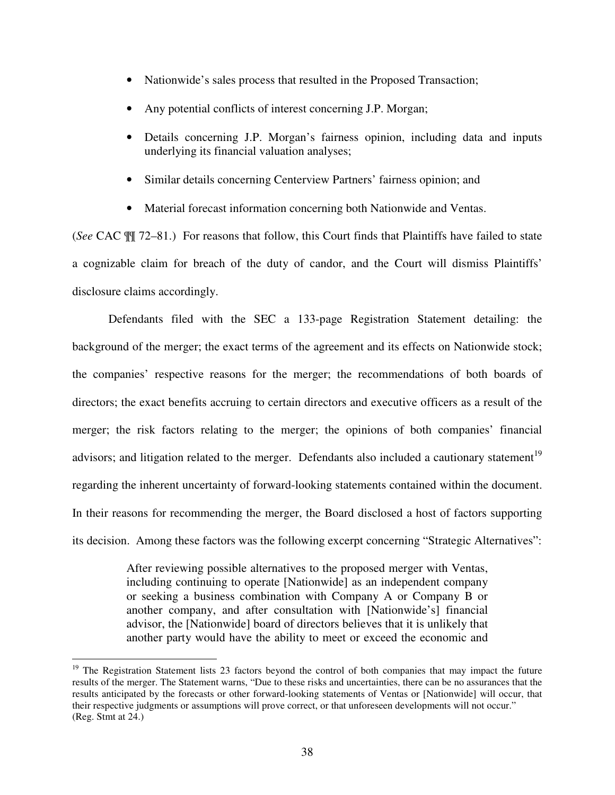- Nationwide's sales process that resulted in the Proposed Transaction;
- Any potential conflicts of interest concerning J.P. Morgan;
- Details concerning J.P. Morgan's fairness opinion, including data and inputs underlying its financial valuation analyses;
- Similar details concerning Centerview Partners' fairness opinion; and
- Material forecast information concerning both Nationwide and Ventas.

(*See* CAC ¶¶ 72–81.) For reasons that follow, this Court finds that Plaintiffs have failed to state a cognizable claim for breach of the duty of candor, and the Court will dismiss Plaintiffs' disclosure claims accordingly.

Defendants filed with the SEC a 133-page Registration Statement detailing: the background of the merger; the exact terms of the agreement and its effects on Nationwide stock; the companies' respective reasons for the merger; the recommendations of both boards of directors; the exact benefits accruing to certain directors and executive officers as a result of the merger; the risk factors relating to the merger; the opinions of both companies' financial advisors; and litigation related to the merger. Defendants also included a cautionary statement<sup>19</sup> regarding the inherent uncertainty of forward-looking statements contained within the document. In their reasons for recommending the merger, the Board disclosed a host of factors supporting its decision. Among these factors was the following excerpt concerning "Strategic Alternatives":

> After reviewing possible alternatives to the proposed merger with Ventas, including continuing to operate [Nationwide] as an independent company or seeking a business combination with Company A or Company B or another company, and after consultation with [Nationwide's] financial advisor, the [Nationwide] board of directors believes that it is unlikely that another party would have the ability to meet or exceed the economic and

 $\overline{a}$ 

<sup>&</sup>lt;sup>19</sup> The Registration Statement lists 23 factors beyond the control of both companies that may impact the future results of the merger. The Statement warns, "Due to these risks and uncertainties, there can be no assurances that the results anticipated by the forecasts or other forward-looking statements of Ventas or [Nationwide] will occur, that their respective judgments or assumptions will prove correct, or that unforeseen developments will not occur." (Reg. Stmt at 24.)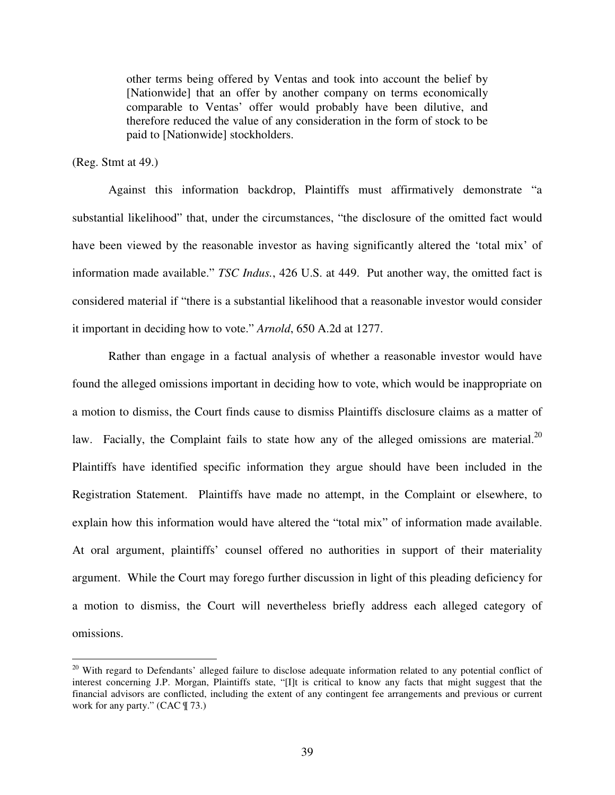other terms being offered by Ventas and took into account the belief by [Nationwide] that an offer by another company on terms economically comparable to Ventas' offer would probably have been dilutive, and therefore reduced the value of any consideration in the form of stock to be paid to [Nationwide] stockholders.

## (Reg. Stmt at 49.)

 $\overline{a}$ 

Against this information backdrop, Plaintiffs must affirmatively demonstrate "a substantial likelihood" that, under the circumstances, "the disclosure of the omitted fact would have been viewed by the reasonable investor as having significantly altered the 'total mix' of information made available." *TSC Indus.*, 426 U.S. at 449. Put another way, the omitted fact is considered material if "there is a substantial likelihood that a reasonable investor would consider it important in deciding how to vote." *Arnold*, 650 A.2d at 1277.

Rather than engage in a factual analysis of whether a reasonable investor would have found the alleged omissions important in deciding how to vote, which would be inappropriate on a motion to dismiss, the Court finds cause to dismiss Plaintiffs disclosure claims as a matter of law. Facially, the Complaint fails to state how any of the alleged omissions are material.<sup>20</sup> Plaintiffs have identified specific information they argue should have been included in the Registration Statement. Plaintiffs have made no attempt, in the Complaint or elsewhere, to explain how this information would have altered the "total mix" of information made available. At oral argument, plaintiffs' counsel offered no authorities in support of their materiality argument. While the Court may forego further discussion in light of this pleading deficiency for a motion to dismiss, the Court will nevertheless briefly address each alleged category of omissions.

<sup>&</sup>lt;sup>20</sup> With regard to Defendants' alleged failure to disclose adequate information related to any potential conflict of interest concerning J.P. Morgan, Plaintiffs state, "[I]t is critical to know any facts that might suggest that the financial advisors are conflicted, including the extent of any contingent fee arrangements and previous or current work for any party." (CAC ¶ 73.)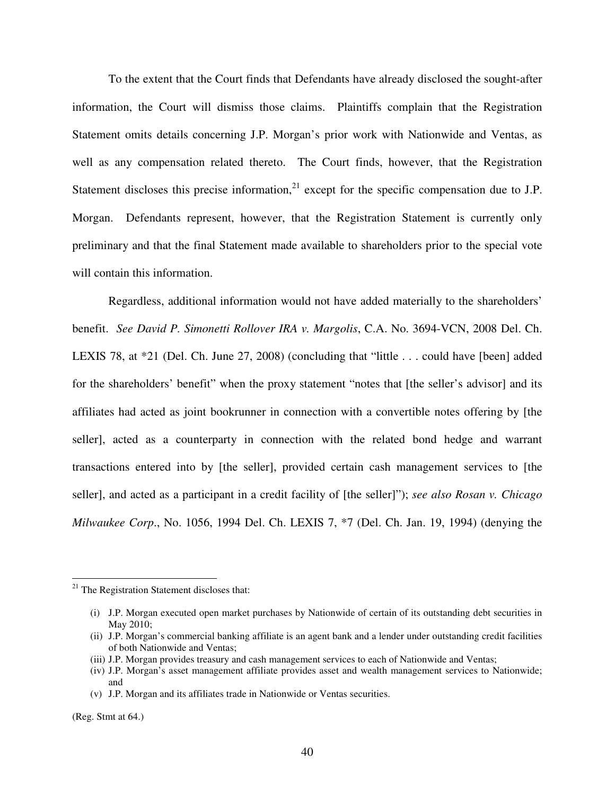To the extent that the Court finds that Defendants have already disclosed the sought-after information, the Court will dismiss those claims. Plaintiffs complain that the Registration Statement omits details concerning J.P. Morgan's prior work with Nationwide and Ventas, as well as any compensation related thereto. The Court finds, however, that the Registration Statement discloses this precise information, $^{21}$  except for the specific compensation due to J.P. Morgan. Defendants represent, however, that the Registration Statement is currently only preliminary and that the final Statement made available to shareholders prior to the special vote will contain this information.

Regardless, additional information would not have added materially to the shareholders' benefit. *See David P. Simonetti Rollover IRA v. Margolis*, C.A. No. 3694-VCN, 2008 Del. Ch. LEXIS 78, at \*21 (Del. Ch. June 27, 2008) (concluding that "little . . . could have [been] added for the shareholders' benefit" when the proxy statement "notes that [the seller's advisor] and its affiliates had acted as joint bookrunner in connection with a convertible notes offering by [the seller], acted as a counterparty in connection with the related bond hedge and warrant transactions entered into by [the seller], provided certain cash management services to [the seller], and acted as a participant in a credit facility of [the seller]"); *see also Rosan v. Chicago Milwaukee Corp*., No. 1056, 1994 Del. Ch. LEXIS 7, \*7 (Del. Ch. Jan. 19, 1994) (denying the

(Reg. Stmt at 64.)

 $\overline{a}$ 

<sup>&</sup>lt;sup>21</sup> The Registration Statement discloses that:

<sup>(</sup>i) J.P. Morgan executed open market purchases by Nationwide of certain of its outstanding debt securities in May 2010;

<sup>(</sup>ii) J.P. Morgan's commercial banking affiliate is an agent bank and a lender under outstanding credit facilities of both Nationwide and Ventas;

<sup>(</sup>iii) J.P. Morgan provides treasury and cash management services to each of Nationwide and Ventas;

<sup>(</sup>iv) J.P. Morgan's asset management affiliate provides asset and wealth management services to Nationwide; and

<sup>(</sup>v) J.P. Morgan and its affiliates trade in Nationwide or Ventas securities.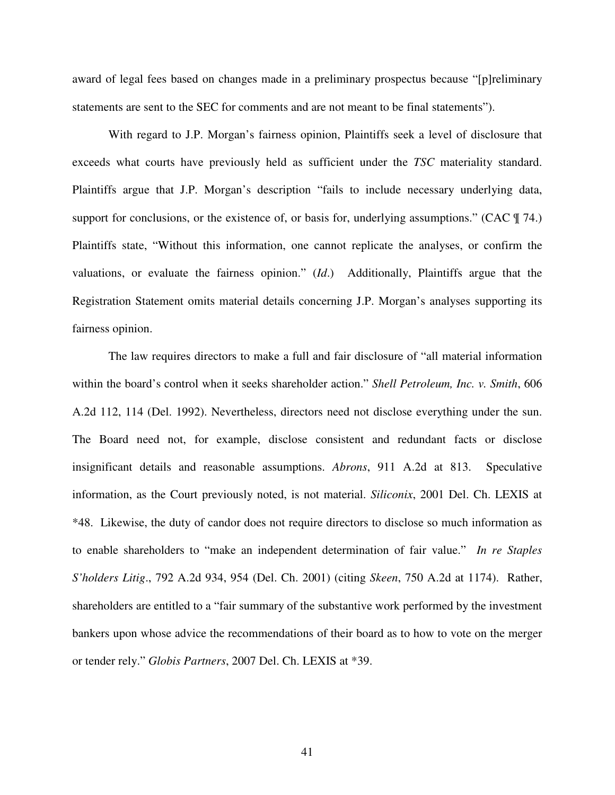award of legal fees based on changes made in a preliminary prospectus because "[p]reliminary statements are sent to the SEC for comments and are not meant to be final statements").

With regard to J.P. Morgan's fairness opinion, Plaintiffs seek a level of disclosure that exceeds what courts have previously held as sufficient under the *TSC* materiality standard. Plaintiffs argue that J.P. Morgan's description "fails to include necessary underlying data, support for conclusions, or the existence of, or basis for, underlying assumptions." (CAC  $\parallel$  74.) Plaintiffs state, "Without this information, one cannot replicate the analyses, or confirm the valuations, or evaluate the fairness opinion." (*Id*.) Additionally, Plaintiffs argue that the Registration Statement omits material details concerning J.P. Morgan's analyses supporting its fairness opinion.

The law requires directors to make a full and fair disclosure of "all material information within the board's control when it seeks shareholder action." *Shell Petroleum, Inc. v. Smith*, 606 A.2d 112, 114 (Del. 1992). Nevertheless, directors need not disclose everything under the sun. The Board need not, for example, disclose consistent and redundant facts or disclose insignificant details and reasonable assumptions. *Abrons*, 911 A.2d at 813. Speculative information, as the Court previously noted, is not material. *Siliconix*, 2001 Del. Ch. LEXIS at \*48. Likewise, the duty of candor does not require directors to disclose so much information as to enable shareholders to "make an independent determination of fair value." *In re Staples S'holders Litig*., 792 A.2d 934, 954 (Del. Ch. 2001) (citing *Skeen*, 750 A.2d at 1174). Rather, shareholders are entitled to a "fair summary of the substantive work performed by the investment bankers upon whose advice the recommendations of their board as to how to vote on the merger or tender rely." *Globis Partners*, 2007 Del. Ch. LEXIS at \*39.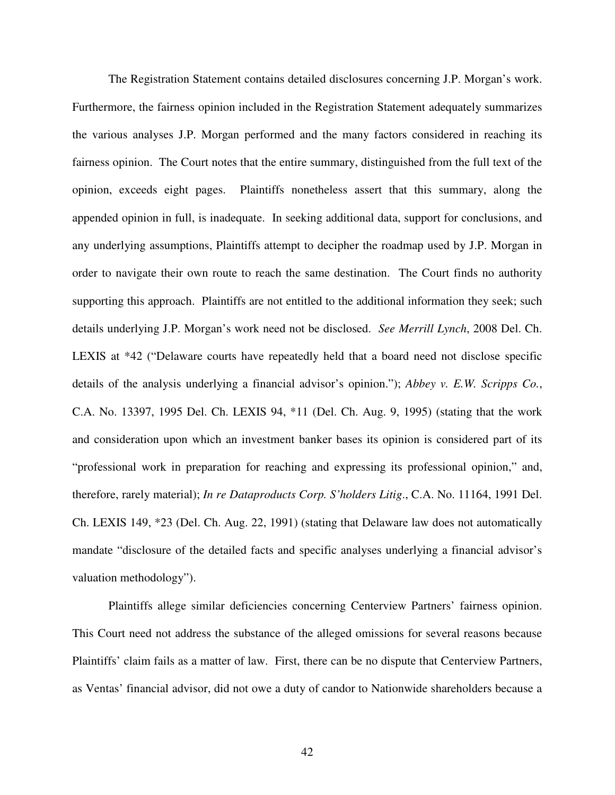The Registration Statement contains detailed disclosures concerning J.P. Morgan's work. Furthermore, the fairness opinion included in the Registration Statement adequately summarizes the various analyses J.P. Morgan performed and the many factors considered in reaching its fairness opinion. The Court notes that the entire summary, distinguished from the full text of the opinion, exceeds eight pages. Plaintiffs nonetheless assert that this summary, along the appended opinion in full, is inadequate. In seeking additional data, support for conclusions, and any underlying assumptions, Plaintiffs attempt to decipher the roadmap used by J.P. Morgan in order to navigate their own route to reach the same destination. The Court finds no authority supporting this approach. Plaintiffs are not entitled to the additional information they seek; such details underlying J.P. Morgan's work need not be disclosed. *See Merrill Lynch*, 2008 Del. Ch. LEXIS at \*42 ("Delaware courts have repeatedly held that a board need not disclose specific details of the analysis underlying a financial advisor's opinion."); *Abbey v. E.W. Scripps Co.*, C.A. No. 13397, 1995 Del. Ch. LEXIS 94, \*11 (Del. Ch. Aug. 9, 1995) (stating that the work and consideration upon which an investment banker bases its opinion is considered part of its "professional work in preparation for reaching and expressing its professional opinion," and, therefore, rarely material); *In re Dataproducts Corp. S'holders Litig*., C.A. No. 11164, 1991 Del. Ch. LEXIS 149, \*23 (Del. Ch. Aug. 22, 1991) (stating that Delaware law does not automatically mandate "disclosure of the detailed facts and specific analyses underlying a financial advisor's valuation methodology").

Plaintiffs allege similar deficiencies concerning Centerview Partners' fairness opinion. This Court need not address the substance of the alleged omissions for several reasons because Plaintiffs' claim fails as a matter of law. First, there can be no dispute that Centerview Partners, as Ventas' financial advisor, did not owe a duty of candor to Nationwide shareholders because a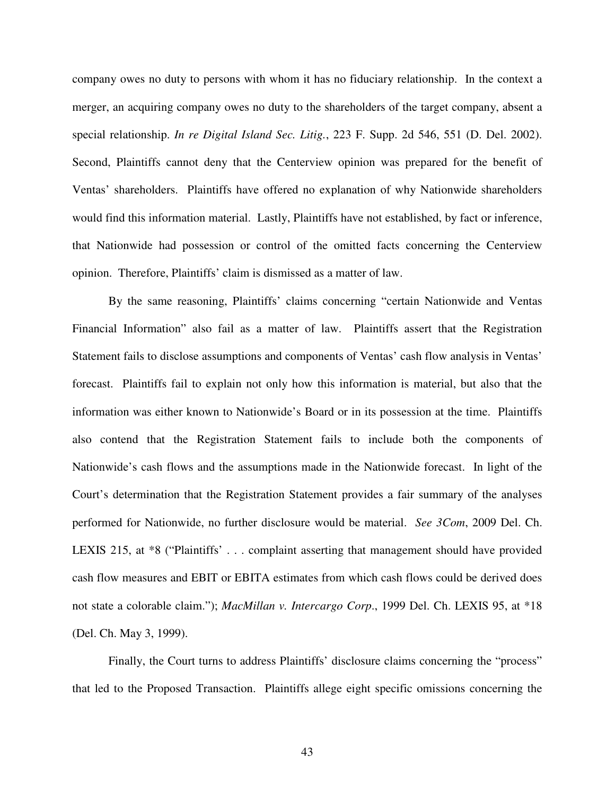company owes no duty to persons with whom it has no fiduciary relationship. In the context a merger, an acquiring company owes no duty to the shareholders of the target company, absent a special relationship. *In re Digital Island Sec. Litig.*, 223 F. Supp. 2d 546, 551 (D. Del. 2002). Second, Plaintiffs cannot deny that the Centerview opinion was prepared for the benefit of Ventas' shareholders. Plaintiffs have offered no explanation of why Nationwide shareholders would find this information material. Lastly, Plaintiffs have not established, by fact or inference, that Nationwide had possession or control of the omitted facts concerning the Centerview opinion. Therefore, Plaintiffs' claim is dismissed as a matter of law.

By the same reasoning, Plaintiffs' claims concerning "certain Nationwide and Ventas Financial Information" also fail as a matter of law. Plaintiffs assert that the Registration Statement fails to disclose assumptions and components of Ventas' cash flow analysis in Ventas' forecast. Plaintiffs fail to explain not only how this information is material, but also that the information was either known to Nationwide's Board or in its possession at the time. Plaintiffs also contend that the Registration Statement fails to include both the components of Nationwide's cash flows and the assumptions made in the Nationwide forecast. In light of the Court's determination that the Registration Statement provides a fair summary of the analyses performed for Nationwide, no further disclosure would be material. *See 3Com*, 2009 Del. Ch. LEXIS 215, at \*8 ("Plaintiffs' . . . complaint asserting that management should have provided cash flow measures and EBIT or EBITA estimates from which cash flows could be derived does not state a colorable claim."); *MacMillan v. Intercargo Corp*., 1999 Del. Ch. LEXIS 95, at \*18 (Del. Ch. May 3, 1999).

Finally, the Court turns to address Plaintiffs' disclosure claims concerning the "process" that led to the Proposed Transaction. Plaintiffs allege eight specific omissions concerning the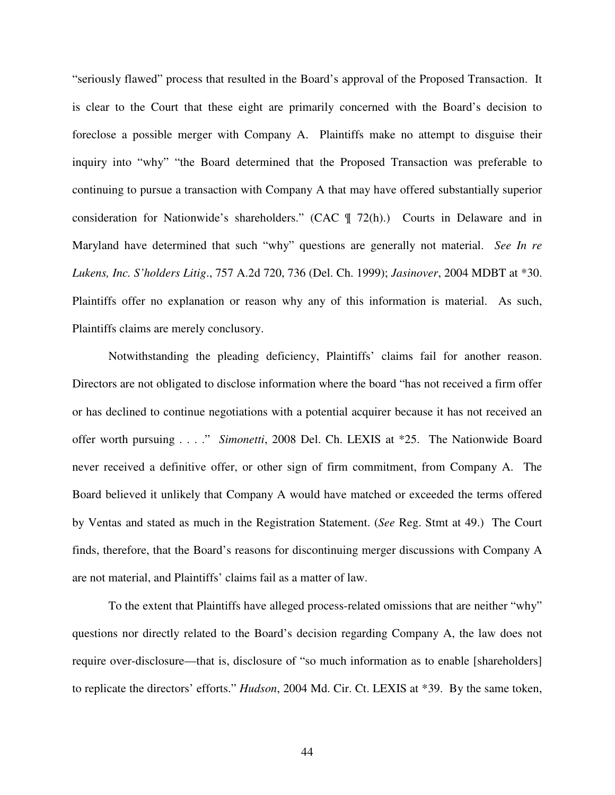"seriously flawed" process that resulted in the Board's approval of the Proposed Transaction. It is clear to the Court that these eight are primarily concerned with the Board's decision to foreclose a possible merger with Company A. Plaintiffs make no attempt to disguise their inquiry into "why" "the Board determined that the Proposed Transaction was preferable to continuing to pursue a transaction with Company A that may have offered substantially superior consideration for Nationwide's shareholders." (CAC ¶ 72(h).) Courts in Delaware and in Maryland have determined that such "why" questions are generally not material. *See In re Lukens, Inc. S'holders Litig*., 757 A.2d 720, 736 (Del. Ch. 1999); *Jasinover*, 2004 MDBT at \*30. Plaintiffs offer no explanation or reason why any of this information is material. As such, Plaintiffs claims are merely conclusory.

Notwithstanding the pleading deficiency, Plaintiffs' claims fail for another reason. Directors are not obligated to disclose information where the board "has not received a firm offer or has declined to continue negotiations with a potential acquirer because it has not received an offer worth pursuing . . . ." *Simonetti*, 2008 Del. Ch. LEXIS at \*25. The Nationwide Board never received a definitive offer, or other sign of firm commitment, from Company A. The Board believed it unlikely that Company A would have matched or exceeded the terms offered by Ventas and stated as much in the Registration Statement. (*See* Reg. Stmt at 49.) The Court finds, therefore, that the Board's reasons for discontinuing merger discussions with Company A are not material, and Plaintiffs' claims fail as a matter of law.

To the extent that Plaintiffs have alleged process-related omissions that are neither "why" questions nor directly related to the Board's decision regarding Company A, the law does not require over-disclosure—that is, disclosure of "so much information as to enable [shareholders] to replicate the directors' efforts." *Hudson*, 2004 Md. Cir. Ct. LEXIS at \*39. By the same token,